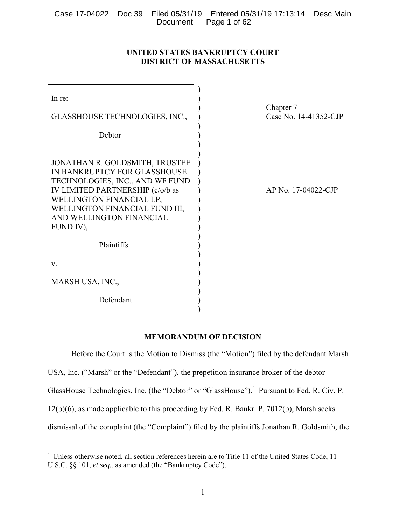|  | Case 17-04022 Doc 39 Filed 05/31/19 Entered 05/31/19 17:13:14 Desc Main |  |
|--|-------------------------------------------------------------------------|--|
|  | Document Page 1 of 62                                                   |  |

# **UNITED STATES BANKRUPTCY COURT DISTRICT OF MASSACHUSETTS**

| In re:<br>GLASSHOUSE TECHNOLOGIES, INC.,                                                                                                                                                                                                     | Chapter 7<br>Case No. 14-41352-CJP |
|----------------------------------------------------------------------------------------------------------------------------------------------------------------------------------------------------------------------------------------------|------------------------------------|
| Debtor                                                                                                                                                                                                                                       |                                    |
|                                                                                                                                                                                                                                              |                                    |
| JONATHAN R. GOLDSMITH, TRUSTEE<br>IN BANKRUPTCY FOR GLASSHOUSE<br>TECHNOLOGIES, INC., AND WF FUND<br>IV LIMITED PARTNERSHIP (c/o/b as<br>WELLINGTON FINANCIAL LP,<br>WELLINGTON FINANCIAL FUND III,<br>AND WELLINGTON FINANCIAL<br>FUND IV), | AP No. 17-04022-CJP                |
| Plaintiffs                                                                                                                                                                                                                                   |                                    |
| V.                                                                                                                                                                                                                                           |                                    |
| MARSH USA, INC.,                                                                                                                                                                                                                             |                                    |
| Defendant                                                                                                                                                                                                                                    |                                    |

# **MEMORANDUM OF DECISION**

Before the Court is the Motion to Dismiss (the "Motion") filed by the defendant Marsh USA, Inc. ("Marsh" or the "Defendant"), the prepetition insurance broker of the debtor GlassHouse Technologies, Inc. (the "Debtor" or "GlassHouse").<sup>1</sup> Pursuant to Fed. R. Civ. P. 12(b)(6), as made applicable to this proceeding by Fed. R. Bankr. P. 7012(b), Marsh seeks dismissal of the complaint (the "Complaint") filed by the plaintiffs Jonathan R. Goldsmith, the

 $\overline{a}$ 

<sup>&</sup>lt;sup>1</sup> Unless otherwise noted, all section references herein are to Title 11 of the United States Code, 11 U.S.C. §§ 101, *et seq.*, as amended (the "Bankruptcy Code").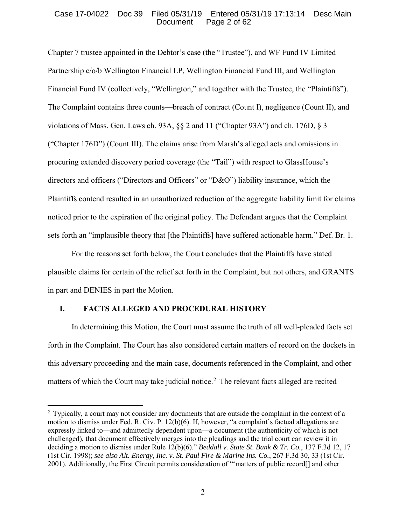## Case 17-04022 Doc 39 Filed 05/31/19 Entered 05/31/19 17:13:14 Desc Main Page 2 of 62

Chapter 7 trustee appointed in the Debtor's case (the "Trustee"), and WF Fund IV Limited Partnership c/o/b Wellington Financial LP, Wellington Financial Fund III, and Wellington Financial Fund IV (collectively, "Wellington," and together with the Trustee, the "Plaintiffs"). The Complaint contains three counts—breach of contract (Count I), negligence (Count II), and violations of Mass. Gen. Laws ch. 93A, §§ 2 and 11 ("Chapter 93A") and ch. 176D, § 3 ("Chapter 176D") (Count III). The claims arise from Marsh's alleged acts and omissions in procuring extended discovery period coverage (the "Tail") with respect to GlassHouse's directors and officers ("Directors and Officers" or "D&O") liability insurance, which the Plaintiffs contend resulted in an unauthorized reduction of the aggregate liability limit for claims noticed prior to the expiration of the original policy. The Defendant argues that the Complaint sets forth an "implausible theory that [the Plaintiffs] have suffered actionable harm." Def. Br. 1.

For the reasons set forth below, the Court concludes that the Plaintiffs have stated plausible claims for certain of the relief set forth in the Complaint, but not others, and GRANTS in part and DENIES in part the Motion.

# **I. FACTS ALLEGED AND PROCEDURAL HISTORY**

 $\overline{a}$ 

In determining this Motion, the Court must assume the truth of all well-pleaded facts set forth in the Complaint. The Court has also considered certain matters of record on the dockets in this adversary proceeding and the main case, documents referenced in the Complaint, and other matters of which the Court may take judicial notice.<sup>2</sup> The relevant facts alleged are recited

<sup>&</sup>lt;sup>2</sup> Typically, a court may not consider any documents that are outside the complaint in the context of a motion to dismiss under Fed. R. Civ. P. 12(b)(6). If, however, "a complaint's factual allegations are expressly linked to—and admittedly dependent upon—a document (the authenticity of which is not challenged), that document effectively merges into the pleadings and the trial court can review it in deciding a motion to dismiss under Rule 12(b)(6)." *Beddall v. State St. Bank & Tr. Co.*, 137 F.3d 12, 17 (1st Cir. 1998); *see also Alt. Energy, Inc. v. St. Paul Fire & Marine Ins. Co.*, 267 F.3d 30, 33 (1st Cir. 2001). Additionally, the First Circuit permits consideration of "'matters of public record[] and other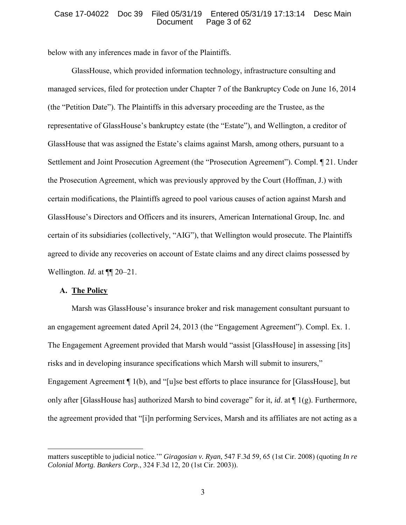## Case 17-04022 Doc 39 Filed 05/31/19 Entered 05/31/19 17:13:14 Desc Main Page 3 of 62

below with any inferences made in favor of the Plaintiffs.

GlassHouse, which provided information technology, infrastructure consulting and managed services, filed for protection under Chapter 7 of the Bankruptcy Code on June 16, 2014 (the "Petition Date"). The Plaintiffs in this adversary proceeding are the Trustee, as the representative of GlassHouse's bankruptcy estate (the "Estate"), and Wellington, a creditor of GlassHouse that was assigned the Estate's claims against Marsh, among others, pursuant to a Settlement and Joint Prosecution Agreement (the "Prosecution Agreement"). Compl. ¶ 21. Under the Prosecution Agreement, which was previously approved by the Court (Hoffman, J.) with certain modifications, the Plaintiffs agreed to pool various causes of action against Marsh and GlassHouse's Directors and Officers and its insurers, American International Group, Inc. and certain of its subsidiaries (collectively, "AIG"), that Wellington would prosecute. The Plaintiffs agreed to divide any recoveries on account of Estate claims and any direct claims possessed by Wellington. *Id.* at  $\P$  20–21.

## **A. The Policy**

 $\overline{a}$ 

Marsh was GlassHouse's insurance broker and risk management consultant pursuant to an engagement agreement dated April 24, 2013 (the "Engagement Agreement"). Compl. Ex. 1. The Engagement Agreement provided that Marsh would "assist [GlassHouse] in assessing [its] risks and in developing insurance specifications which Marsh will submit to insurers," Engagement Agreement ¶ 1(b), and "[u]se best efforts to place insurance for [GlassHouse], but only after [GlassHouse has] authorized Marsh to bind coverage" for it, *id*. at ¶ 1(g). Furthermore, the agreement provided that "[i]n performing Services, Marsh and its affiliates are not acting as a

matters susceptible to judicial notice.'" *Giragosian v. Ryan*, 547 F.3d 59, 65 (1st Cir. 2008) (quoting *In re Colonial Mortg. Bankers Corp.*, 324 F.3d 12, 20 (1st Cir. 2003)).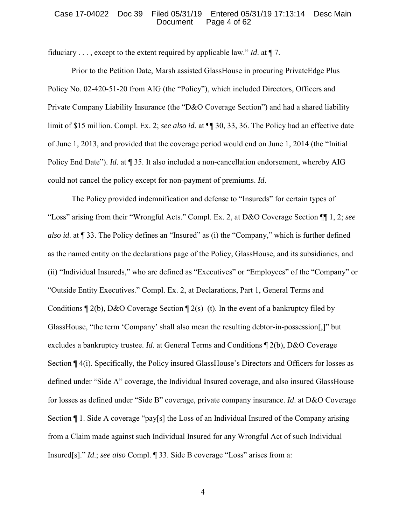## Case 17-04022 Doc 39 Filed 05/31/19 Entered 05/31/19 17:13:14 Desc Main Page 4 of 62

fiduciary . . . , except to the extent required by applicable law." *Id*. at ¶ 7.

Prior to the Petition Date, Marsh assisted GlassHouse in procuring PrivateEdge Plus Policy No. 02-420-51-20 from AIG (the "Policy"), which included Directors, Officers and Private Company Liability Insurance (the "D&O Coverage Section") and had a shared liability limit of \$15 million. Compl. Ex. 2; *see also id.* at  $\P$  30, 33, 36. The Policy had an effective date of June 1, 2013, and provided that the coverage period would end on June 1, 2014 (the "Initial Policy End Date"). *Id*. at ¶ 35. It also included a non-cancellation endorsement, whereby AIG could not cancel the policy except for non-payment of premiums. *Id*.

The Policy provided indemnification and defense to "Insureds" for certain types of "Loss" arising from their "Wrongful Acts." Compl. Ex. 2, at D&O Coverage Section ¶¶ 1, 2; *see also id*. at ¶ 33. The Policy defines an "Insured" as (i) the "Company," which is further defined as the named entity on the declarations page of the Policy, GlassHouse, and its subsidiaries, and (ii) "Individual Insureds," who are defined as "Executives" or "Employees" of the "Company" or "Outside Entity Executives." Compl. Ex. 2, at Declarations, Part 1, General Terms and Conditions  $\P$  2(b), D&O Coverage Section  $\P$  2(s)–(t). In the event of a bankruptcy filed by GlassHouse, "the term 'Company' shall also mean the resulting debtor-in-possession[,]" but excludes a bankruptcy trustee. *Id*. at General Terms and Conditions ¶ 2(b), D&O Coverage Section ¶ 4(i). Specifically, the Policy insured GlassHouse's Directors and Officers for losses as defined under "Side A" coverage, the Individual Insured coverage, and also insured GlassHouse for losses as defined under "Side B" coverage, private company insurance. *Id*. at D&O Coverage Section ¶ 1. Side A coverage "pay[s] the Loss of an Individual Insured of the Company arising from a Claim made against such Individual Insured for any Wrongful Act of such Individual Insured[s]." *Id*.; *see also* Compl. ¶ 33. Side B coverage "Loss" arises from a: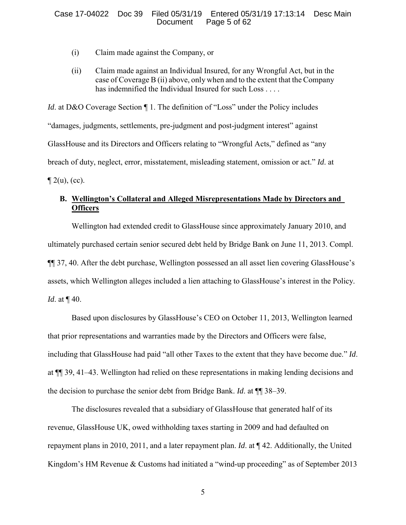## Case 17-04022 Doc 39 Filed 05/31/19 Entered 05/31/19 17:13:14 Desc Main Page 5 of 62

- (i) Claim made against the Company, or
- (ii) Claim made against an Individual Insured, for any Wrongful Act, but in the case of Coverage B (ii) above, only when and to the extent that the Company has indemnified the Individual Insured for such Loss . . . .

*Id.* at D&O Coverage Section ¶ 1. The definition of "Loss" under the Policy includes "damages, judgments, settlements, pre-judgment and post-judgment interest" against GlassHouse and its Directors and Officers relating to "Wrongful Acts," defined as "any breach of duty, neglect, error, misstatement, misleading statement, omission or act." *Id*. at  $\P$  2(u), (cc).

# **B. Wellington's Collateral and Alleged Misrepresentations Made by Directors and Officers**

Wellington had extended credit to GlassHouse since approximately January 2010, and ultimately purchased certain senior secured debt held by Bridge Bank on June 11, 2013. Compl. ¶¶ 37, 40. After the debt purchase, Wellington possessed an all asset lien covering GlassHouse's assets, which Wellington alleges included a lien attaching to GlassHouse's interest in the Policy. *Id.* at **[40.**]

Based upon disclosures by GlassHouse's CEO on October 11, 2013, Wellington learned that prior representations and warranties made by the Directors and Officers were false, including that GlassHouse had paid "all other Taxes to the extent that they have become due." *Id*. at ¶¶ 39, 41–43. Wellington had relied on these representations in making lending decisions and the decision to purchase the senior debt from Bridge Bank. *Id*. at ¶¶ 38–39.

The disclosures revealed that a subsidiary of GlassHouse that generated half of its revenue, GlassHouse UK, owed withholding taxes starting in 2009 and had defaulted on repayment plans in 2010, 2011, and a later repayment plan. *Id*. at ¶ 42. Additionally, the United Kingdom's HM Revenue & Customs had initiated a "wind-up proceeding" as of September 2013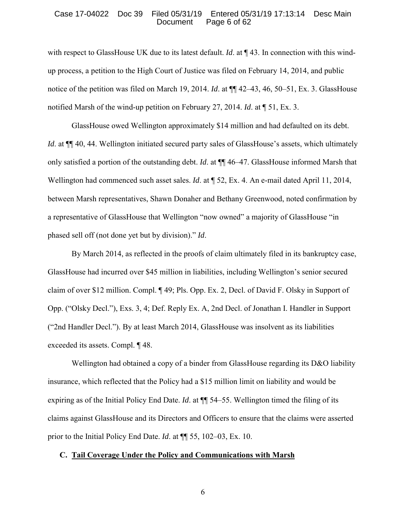### Case 17-04022 Doc 39 Filed 05/31/19 Entered 05/31/19 17:13:14 Desc Main Page 6 of 62

with respect to GlassHouse UK due to its latest default. *Id*. at  $\P$  43. In connection with this windup process, a petition to the High Court of Justice was filed on February 14, 2014, and public notice of the petition was filed on March 19, 2014. *Id*. at ¶¶ 42–43, 46, 50–51, Ex. 3. GlassHouse notified Marsh of the wind-up petition on February 27, 2014. *Id*. at ¶ 51, Ex. 3.

GlassHouse owed Wellington approximately \$14 million and had defaulted on its debt. *Id.* at  $\P$  40, 44. Wellington initiated secured party sales of GlassHouse's assets, which ultimately only satisfied a portion of the outstanding debt. *Id*. at ¶¶ 46–47. GlassHouse informed Marsh that Wellington had commenced such asset sales. *Id*. at ¶ 52, Ex. 4. An e-mail dated April 11, 2014, between Marsh representatives, Shawn Donaher and Bethany Greenwood, noted confirmation by a representative of GlassHouse that Wellington "now owned" a majority of GlassHouse "in phased sell off (not done yet but by division)." *Id*.

By March 2014, as reflected in the proofs of claim ultimately filed in its bankruptcy case, GlassHouse had incurred over \$45 million in liabilities, including Wellington's senior secured claim of over \$12 million. Compl. ¶ 49; Pls. Opp. Ex. 2, Decl. of David F. Olsky in Support of Opp. ("Olsky Decl."), Exs. 3, 4; Def. Reply Ex. A, 2nd Decl. of Jonathan I. Handler in Support ("2nd Handler Decl."). By at least March 2014, GlassHouse was insolvent as its liabilities exceeded its assets. Compl. ¶ 48.

Wellington had obtained a copy of a binder from GlassHouse regarding its D&O liability insurance, which reflected that the Policy had a \$15 million limit on liability and would be expiring as of the Initial Policy End Date. *Id*. at ¶¶ 54–55. Wellington timed the filing of its claims against GlassHouse and its Directors and Officers to ensure that the claims were asserted prior to the Initial Policy End Date. *Id*. at ¶¶ 55, 102–03, Ex. 10.

#### **C. Tail Coverage Under the Policy and Communications with Marsh**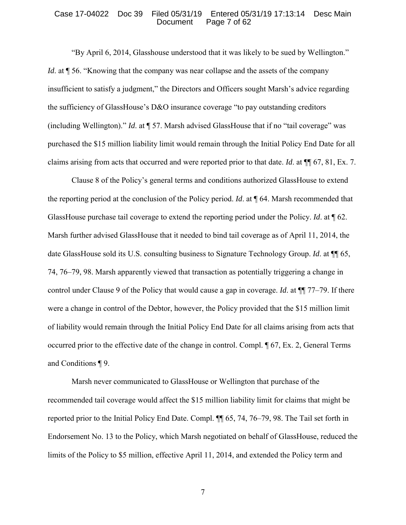#### Case 17-04022 Doc 39 Filed 05/31/19 Entered 05/31/19 17:13:14 Desc Main Page 7 of 62

"By April 6, 2014, Glasshouse understood that it was likely to be sued by Wellington." *Id.* at  $\parallel$  56. "Knowing that the company was near collapse and the assets of the company insufficient to satisfy a judgment," the Directors and Officers sought Marsh's advice regarding the sufficiency of GlassHouse's D&O insurance coverage "to pay outstanding creditors (including Wellington)." *Id*. at ¶ 57. Marsh advised GlassHouse that if no "tail coverage" was purchased the \$15 million liability limit would remain through the Initial Policy End Date for all claims arising from acts that occurred and were reported prior to that date. *Id*. at ¶¶ 67, 81, Ex. 7.

 Clause 8 of the Policy's general terms and conditions authorized GlassHouse to extend the reporting period at the conclusion of the Policy period. *Id*. at ¶ 64. Marsh recommended that GlassHouse purchase tail coverage to extend the reporting period under the Policy. *Id*. at ¶ 62. Marsh further advised GlassHouse that it needed to bind tail coverage as of April 11, 2014, the date GlassHouse sold its U.S. consulting business to Signature Technology Group. *Id*. at ¶¶ 65, 74, 76–79, 98. Marsh apparently viewed that transaction as potentially triggering a change in control under Clause 9 of the Policy that would cause a gap in coverage. *Id*. at ¶¶ 77–79. If there were a change in control of the Debtor, however, the Policy provided that the \$15 million limit of liability would remain through the Initial Policy End Date for all claims arising from acts that occurred prior to the effective date of the change in control. Compl. ¶ 67, Ex. 2, General Terms and Conditions ¶ 9.

 Marsh never communicated to GlassHouse or Wellington that purchase of the recommended tail coverage would affect the \$15 million liability limit for claims that might be reported prior to the Initial Policy End Date. Compl. ¶¶ 65, 74, 76–79, 98. The Tail set forth in Endorsement No. 13 to the Policy, which Marsh negotiated on behalf of GlassHouse, reduced the limits of the Policy to \$5 million, effective April 11, 2014, and extended the Policy term and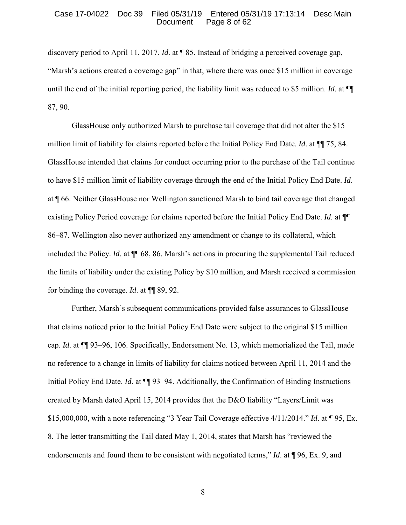### Case 17-04022 Doc 39 Filed 05/31/19 Entered 05/31/19 17:13:14 Desc Main Page 8 of 62

discovery period to April 11, 2017. *Id*. at ¶ 85. Instead of bridging a perceived coverage gap, "Marsh's actions created a coverage gap" in that, where there was once \$15 million in coverage until the end of the initial reporting period, the liability limit was reduced to \$5 million. *Id*. at ¶¶ 87, 90.

 GlassHouse only authorized Marsh to purchase tail coverage that did not alter the \$15 million limit of liability for claims reported before the Initial Policy End Date. *Id*. at ¶¶ 75, 84. GlassHouse intended that claims for conduct occurring prior to the purchase of the Tail continue to have \$15 million limit of liability coverage through the end of the Initial Policy End Date. *Id*. at ¶ 66. Neither GlassHouse nor Wellington sanctioned Marsh to bind tail coverage that changed existing Policy Period coverage for claims reported before the Initial Policy End Date. *Id*. at ¶¶ 86–87. Wellington also never authorized any amendment or change to its collateral, which included the Policy. *Id.* at  $\P$  68, 86. Marsh's actions in procuring the supplemental Tail reduced the limits of liability under the existing Policy by \$10 million, and Marsh received a commission for binding the coverage. *Id*. at ¶¶ 89, 92.

 Further, Marsh's subsequent communications provided false assurances to GlassHouse that claims noticed prior to the Initial Policy End Date were subject to the original \$15 million cap. *Id*. at ¶¶ 93–96, 106. Specifically, Endorsement No. 13, which memorialized the Tail, made no reference to a change in limits of liability for claims noticed between April 11, 2014 and the Initial Policy End Date. *Id*. at ¶¶ 93–94. Additionally, the Confirmation of Binding Instructions created by Marsh dated April 15, 2014 provides that the D&O liability "Layers/Limit was \$15,000,000, with a note referencing "3 Year Tail Coverage effective 4/11/2014." *Id*. at ¶ 95, Ex. 8. The letter transmitting the Tail dated May 1, 2014, states that Marsh has "reviewed the endorsements and found them to be consistent with negotiated terms," *Id*. at ¶ 96, Ex. 9, and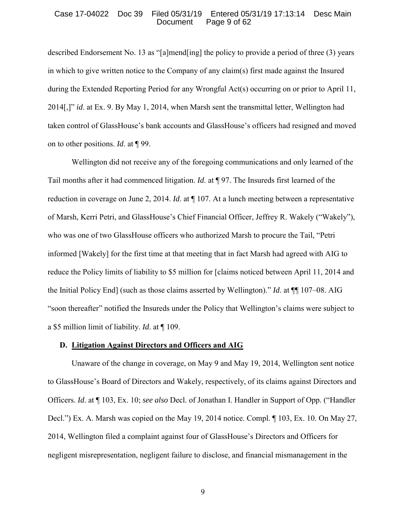## Case 17-04022 Doc 39 Filed 05/31/19 Entered 05/31/19 17:13:14 Desc Main Page 9 of 62

described Endorsement No. 13 as "[a]mend[ing] the policy to provide a period of three (3) years in which to give written notice to the Company of any claim(s) first made against the Insured during the Extended Reporting Period for any Wrongful Act(s) occurring on or prior to April 11, 2014[,]" *id*. at Ex. 9. By May 1, 2014, when Marsh sent the transmittal letter, Wellington had taken control of GlassHouse's bank accounts and GlassHouse's officers had resigned and moved on to other positions. *Id*. at ¶ 99.

 Wellington did not receive any of the foregoing communications and only learned of the Tail months after it had commenced litigation. *Id*. at ¶ 97. The Insureds first learned of the reduction in coverage on June 2, 2014. *Id*. at ¶ 107. At a lunch meeting between a representative of Marsh, Kerri Petri, and GlassHouse's Chief Financial Officer, Jeffrey R. Wakely ("Wakely"), who was one of two GlassHouse officers who authorized Marsh to procure the Tail, "Petri informed [Wakely] for the first time at that meeting that in fact Marsh had agreed with AIG to reduce the Policy limits of liability to \$5 million for [claims noticed between April 11, 2014 and the Initial Policy End] (such as those claims asserted by Wellington)." *Id*. at ¶¶ 107–08. AIG "soon thereafter" notified the Insureds under the Policy that Wellington's claims were subject to a \$5 million limit of liability. *Id*. at ¶ 109.

## **D. Litigation Against Directors and Officers and AIG**

 Unaware of the change in coverage, on May 9 and May 19, 2014, Wellington sent notice to GlassHouse's Board of Directors and Wakely, respectively, of its claims against Directors and Officers. *Id*. at ¶ 103, Ex. 10; *see also* Decl. of Jonathan I. Handler in Support of Opp. ("Handler Decl.") Ex. A. Marsh was copied on the May 19, 2014 notice. Compl. ¶ 103, Ex. 10. On May 27, 2014, Wellington filed a complaint against four of GlassHouse's Directors and Officers for negligent misrepresentation, negligent failure to disclose, and financial mismanagement in the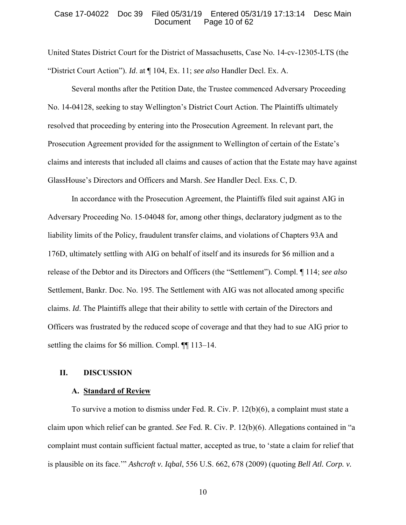## Case 17-04022 Doc 39 Filed 05/31/19 Entered 05/31/19 17:13:14 Desc Main Page 10 of 62

United States District Court for the District of Massachusetts, Case No. 14-cv-12305-LTS (the "District Court Action"). *Id*. at ¶ 104, Ex. 11; *see also* Handler Decl. Ex. A.

 Several months after the Petition Date, the Trustee commenced Adversary Proceeding No. 14-04128, seeking to stay Wellington's District Court Action. The Plaintiffs ultimately resolved that proceeding by entering into the Prosecution Agreement. In relevant part, the Prosecution Agreement provided for the assignment to Wellington of certain of the Estate's claims and interests that included all claims and causes of action that the Estate may have against GlassHouse's Directors and Officers and Marsh. *See* Handler Decl. Exs. C, D.

 In accordance with the Prosecution Agreement, the Plaintiffs filed suit against AIG in Adversary Proceeding No. 15-04048 for, among other things, declaratory judgment as to the liability limits of the Policy, fraudulent transfer claims, and violations of Chapters 93A and 176D, ultimately settling with AIG on behalf of itself and its insureds for \$6 million and a release of the Debtor and its Directors and Officers (the "Settlement"). Compl. ¶ 114; *see also* Settlement, Bankr. Doc. No. 195. The Settlement with AIG was not allocated among specific claims. *Id*. The Plaintiffs allege that their ability to settle with certain of the Directors and Officers was frustrated by the reduced scope of coverage and that they had to sue AIG prior to settling the claims for \$6 million. Compl. ¶¶ 113–14.

## **II. DISCUSSION**

## **A. Standard of Review**

To survive a motion to dismiss under Fed. R. Civ. P. 12(b)(6), a complaint must state a claim upon which relief can be granted. *See* Fed. R. Civ. P. 12(b)(6). Allegations contained in "a complaint must contain sufficient factual matter, accepted as true, to 'state a claim for relief that is plausible on its face.'" *Ashcroft v. Iqbal*, 556 U.S. 662, 678 (2009) (quoting *Bell Atl. Corp. v.*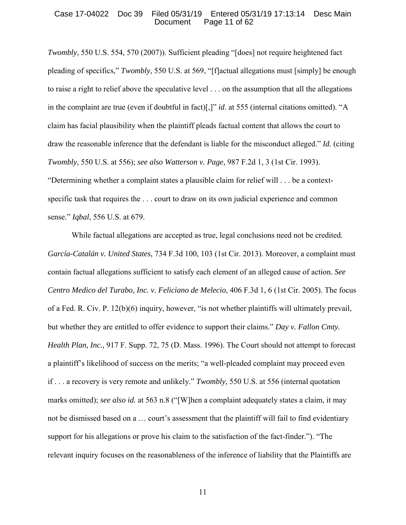## Case 17-04022 Doc 39 Filed 05/31/19 Entered 05/31/19 17:13:14 Desc Main Page  $11$  of  $62$

*Twombly*, 550 U.S. 554, 570 (2007)). Sufficient pleading "[does] not require heightened fact pleading of specifics," *Twombly*, 550 U.S. at 569, "[f]actual allegations must [simply] be enough to raise a right to relief above the speculative level . . . on the assumption that all the allegations in the complaint are true (even if doubtful in fact)[,]" *id*. at 555 (internal citations omitted). "A claim has facial plausibility when the plaintiff pleads factual content that allows the court to draw the reasonable inference that the defendant is liable for the misconduct alleged." *Id.* (citing *Twombly*, 550 U.S. at 556); *see also Watterson v. Page*, 987 F.2d 1, 3 (1st Cir. 1993). "Determining whether a complaint states a plausible claim for relief will . . . be a contextspecific task that requires the . . . court to draw on its own judicial experience and common sense." *Iqbal*, 556 U.S. at 679.

While factual allegations are accepted as true, legal conclusions need not be credited. *García-Catalán v. United States*, 734 F.3d 100, 103 (1st Cir. 2013). Moreover, a complaint must contain factual allegations sufficient to satisfy each element of an alleged cause of action. *See Centro Medico del Turabo, Inc. v. Feliciano de Melecio*, 406 F.3d 1, 6 (1st Cir. 2005). The focus of a Fed. R. Civ. P. 12(b)(6) inquiry, however, "is not whether plaintiffs will ultimately prevail, but whether they are entitled to offer evidence to support their claims." *Day v. Fallon Cmty. Health Plan, Inc.,* 917 F. Supp. 72, 75 (D. Mass. 1996). The Court should not attempt to forecast a plaintiff's likelihood of success on the merits; "a well-pleaded complaint may proceed even if . . . a recovery is very remote and unlikely." *Twombly*, 550 U.S. at 556 (internal quotation marks omitted); *see also id.* at 563 n.8 ("[W]hen a complaint adequately states a claim, it may not be dismissed based on a … court's assessment that the plaintiff will fail to find evidentiary support for his allegations or prove his claim to the satisfaction of the fact-finder."). "The relevant inquiry focuses on the reasonableness of the inference of liability that the Plaintiffs are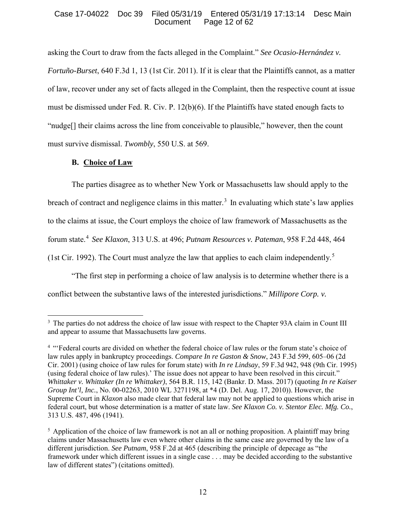# Case 17-04022 Doc 39 Filed 05/31/19 Entered 05/31/19 17:13:14 Desc Main Page 12 of  $62$

asking the Court to draw from the facts alleged in the Complaint." *See Ocasio-Hernández v. Fortuño-Burset*, 640 F.3d 1, 13 (1st Cir. 2011). If it is clear that the Plaintiffs cannot, as a matter of law, recover under any set of facts alleged in the Complaint, then the respective count at issue must be dismissed under Fed. R. Civ. P. 12(b)(6). If the Plaintiffs have stated enough facts to "nudge[] their claims across the line from conceivable to plausible," however, then the count must survive dismissal. *Twombly*, 550 U.S. at 569.

# **B. Choice of Law**

 $\overline{a}$ 

The parties disagree as to whether New York or Massachusetts law should apply to the breach of contract and negligence claims in this matter.<sup>3</sup> In evaluating which state's law applies to the claims at issue, the Court employs the choice of law framework of Massachusetts as the forum state.<sup>4</sup> *See Klaxon*, 313 U.S. at 496; *Putnam Resources v. Pateman*, 958 F.2d 448, 464 (1st Cir. 1992). The Court must analyze the law that applies to each claim independently.<sup>5</sup>

"The first step in performing a choice of law analysis is to determine whether there is a conflict between the substantive laws of the interested jurisdictions." *Millipore Corp. v.* 

<sup>&</sup>lt;sup>3</sup> The parties do not address the choice of law issue with respect to the Chapter 93A claim in Count III and appear to assume that Massachusetts law governs.

<sup>&</sup>lt;sup>4</sup> "Federal courts are divided on whether the federal choice of law rules or the forum state's choice of law rules apply in bankruptcy proceedings. *Compare In re Gaston & Snow*, 243 F.3d 599, 605–06 (2d Cir. 2001) (using choice of law rules for forum state) with *In re Lindsay*, 59 F.3d 942, 948 (9th Cir. 1995) (using federal choice of law rules).' The issue does not appear to have been resolved in this circuit." *Whittaker v. Whittaker (In re Whittaker)*, 564 B.R. 115, 142 (Bankr. D. Mass. 2017) (quoting *In re Kaiser Group Int'l, Inc.*, No. 00-02263, 2010 WL 3271198, at \*4 (D. Del. Aug. 17, 2010)). However, the Supreme Court in *Klaxon* also made clear that federal law may not be applied to questions which arise in federal court, but whose determination is a matter of state law. *See Klaxon Co. v. Stentor Elec. Mfg. Co.*, 313 U.S. 487, 496 (1941).

 $<sup>5</sup>$  Application of the choice of law framework is not an all or nothing proposition. A plaintiff may bring</sup> claims under Massachusetts law even where other claims in the same case are governed by the law of a different jurisdiction. *See Putnam*, 958 F.2d at 465 (describing the principle of depecage as "the framework under which different issues in a single case . . . may be decided according to the substantive law of different states") (citations omitted).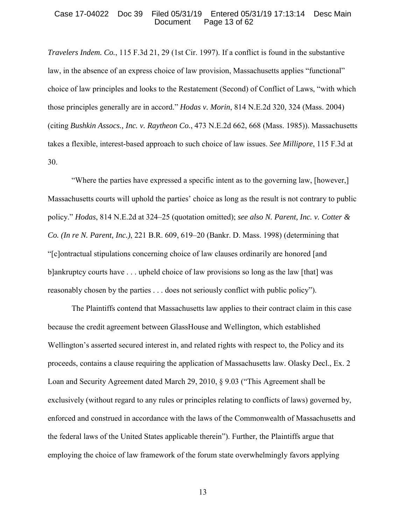## Case 17-04022 Doc 39 Filed 05/31/19 Entered 05/31/19 17:13:14 Desc Main Page 13 of  $62$

*Travelers Indem. Co.*, 115 F.3d 21, 29 (1st Cir. 1997). If a conflict is found in the substantive law, in the absence of an express choice of law provision, Massachusetts applies "functional" choice of law principles and looks to the Restatement (Second) of Conflict of Laws, "with which those principles generally are in accord." *Hodas v. Morin*, 814 N.E.2d 320, 324 (Mass. 2004) (citing *Bushkin Assocs., Inc. v. Raytheon Co.*, 473 N.E.2d 662, 668 (Mass. 1985)). Massachusetts takes a flexible, interest-based approach to such choice of law issues. *See Millipore*, 115 F.3d at 30.

"Where the parties have expressed a specific intent as to the governing law, [however,] Massachusetts courts will uphold the parties' choice as long as the result is not contrary to public policy." *Hodas*, 814 N.E.2d at 324–25 (quotation omitted); *see also N. Parent, Inc. v. Cotter & Co. (In re N. Parent, Inc.)*, 221 B.R. 609, 619–20 (Bankr. D. Mass. 1998) (determining that "[c]ontractual stipulations concerning choice of law clauses ordinarily are honored [and b]ankruptcy courts have . . . upheld choice of law provisions so long as the law [that] was reasonably chosen by the parties . . . does not seriously conflict with public policy").

The Plaintiffs contend that Massachusetts law applies to their contract claim in this case because the credit agreement between GlassHouse and Wellington, which established Wellington's asserted secured interest in, and related rights with respect to, the Policy and its proceeds, contains a clause requiring the application of Massachusetts law. Olasky Decl., Ex. 2 Loan and Security Agreement dated March 29, 2010, § 9.03 ("This Agreement shall be exclusively (without regard to any rules or principles relating to conflicts of laws) governed by, enforced and construed in accordance with the laws of the Commonwealth of Massachusetts and the federal laws of the United States applicable therein"). Further, the Plaintiffs argue that employing the choice of law framework of the forum state overwhelmingly favors applying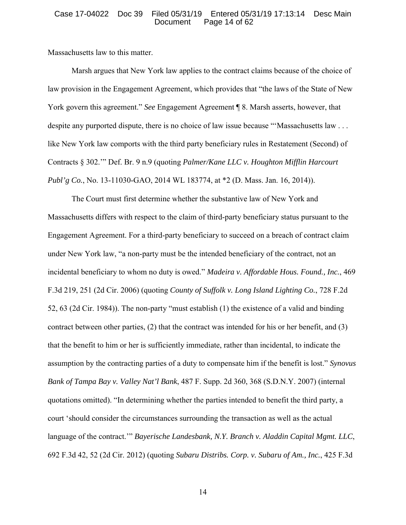## Case 17-04022 Doc 39 Filed 05/31/19 Entered 05/31/19 17:13:14 Desc Main Page 14 of 62

Massachusetts law to this matter.

Marsh argues that New York law applies to the contract claims because of the choice of law provision in the Engagement Agreement, which provides that "the laws of the State of New York govern this agreement." *See* Engagement Agreement ¶ 8. Marsh asserts, however, that despite any purported dispute, there is no choice of law issue because "'Massachusetts law . . . like New York law comports with the third party beneficiary rules in Restatement (Second) of Contracts § 302.'" Def. Br. 9 n.9 (quoting *Palmer/Kane LLC v. Houghton Mifflin Harcourt Publ'g Co.*, No. 13-11030-GAO, 2014 WL 183774, at \*2 (D. Mass. Jan. 16, 2014)).

The Court must first determine whether the substantive law of New York and Massachusetts differs with respect to the claim of third-party beneficiary status pursuant to the Engagement Agreement. For a third-party beneficiary to succeed on a breach of contract claim under New York law, "a non-party must be the intended beneficiary of the contract, not an incidental beneficiary to whom no duty is owed." *Madeira v. Affordable Hous. Found., Inc.*, 469 F.3d 219, 251 (2d Cir. 2006) (quoting *County of Suffolk v. Long Island Lighting Co.*, 728 F.2d 52, 63 (2d Cir. 1984)). The non-party "must establish (1) the existence of a valid and binding contract between other parties, (2) that the contract was intended for his or her benefit, and (3) that the benefit to him or her is sufficiently immediate, rather than incidental, to indicate the assumption by the contracting parties of a duty to compensate him if the benefit is lost." *Synovus Bank of Tampa Bay v. Valley Nat'l Bank*, 487 F. Supp. 2d 360, 368 (S.D.N.Y. 2007) (internal quotations omitted). "In determining whether the parties intended to benefit the third party, a court 'should consider the circumstances surrounding the transaction as well as the actual language of the contract.'" *Bayerische Landesbank, N.Y. Branch v. Aladdin Capital Mgmt. LLC*, 692 F.3d 42, 52 (2d Cir. 2012) (quoting *Subaru Distribs. Corp. v. Subaru of Am., Inc.*, 425 F.3d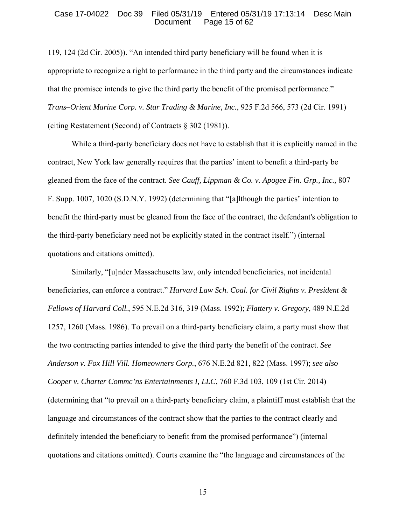## Case 17-04022 Doc 39 Filed 05/31/19 Entered 05/31/19 17:13:14 Desc Main Page 15 of 62

119, 124 (2d Cir. 2005)). "An intended third party beneficiary will be found when it is appropriate to recognize a right to performance in the third party and the circumstances indicate that the promisee intends to give the third party the benefit of the promised performance." *Trans–Orient Marine Corp. v. Star Trading & Marine, Inc.*, 925 F.2d 566, 573 (2d Cir. 1991) (citing Restatement (Second) of Contracts § 302 (1981)).

While a third-party beneficiary does not have to establish that it is explicitly named in the contract, New York law generally requires that the parties' intent to benefit a third-party be gleaned from the face of the contract. *See Cauff, Lippman & Co. v. Apogee Fin. Grp., Inc.,* 807 F. Supp. 1007, 1020 (S.D.N.Y. 1992) (determining that "[a]lthough the parties' intention to benefit the third-party must be gleaned from the face of the contract, the defendant's obligation to the third-party beneficiary need not be explicitly stated in the contract itself.") (internal quotations and citations omitted).

Similarly, "[u]nder Massachusetts law, only intended beneficiaries, not incidental beneficiaries, can enforce a contract." *Harvard Law Sch. Coal. for Civil Rights v. President & Fellows of Harvard Coll.*, 595 N.E.2d 316, 319 (Mass. 1992); *Flattery v. Gregory*, 489 N.E.2d 1257, 1260 (Mass. 1986). To prevail on a third-party beneficiary claim, a party must show that the two contracting parties intended to give the third party the benefit of the contract. *See Anderson v. Fox Hill Vill. Homeowners Corp.*, 676 N.E.2d 821, 822 (Mass. 1997); *see also Cooper v. Charter Commc'ns Entertainments I, LLC*, 760 F.3d 103, 109 (1st Cir. 2014) (determining that "to prevail on a third-party beneficiary claim, a plaintiff must establish that the language and circumstances of the contract show that the parties to the contract clearly and definitely intended the beneficiary to benefit from the promised performance") (internal quotations and citations omitted). Courts examine the "the language and circumstances of the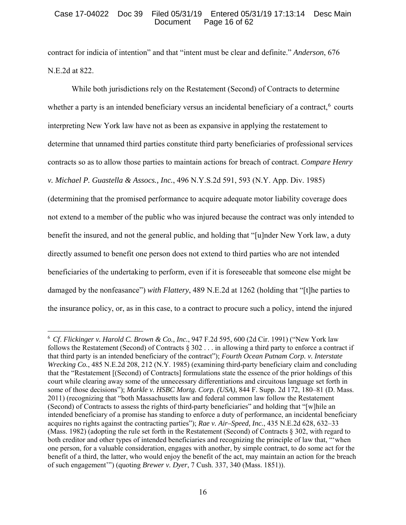# Case 17-04022 Doc 39 Filed 05/31/19 Entered 05/31/19 17:13:14 Desc Main Page 16 of 62

contract for indicia of intention" and that "intent must be clear and definite." *Anderson*, 676 N.E.2d at 822.

While both jurisdictions rely on the Restatement (Second) of Contracts to determine whether a party is an intended beneficiary versus an incidental beneficiary of a contract,  $6$  courts interpreting New York law have not as been as expansive in applying the restatement to determine that unnamed third parties constitute third party beneficiaries of professional services contracts so as to allow those parties to maintain actions for breach of contract. *Compare Henry v. Michael P. Guastella & Assocs., Inc.*, 496 N.Y.S.2d 591, 593 (N.Y. App. Div. 1985) (determining that the promised performance to acquire adequate motor liability coverage does not extend to a member of the public who was injured because the contract was only intended to benefit the insured, and not the general public, and holding that "[u]nder New York law, a duty directly assumed to benefit one person does not extend to third parties who are not intended beneficiaries of the undertaking to perform, even if it is foreseeable that someone else might be damaged by the nonfeasance") *with Flattery*, 489 N.E.2d at 1262 (holding that "[t]he parties to the insurance policy, or, as in this case, to a contract to procure such a policy, intend the injured

<sup>6</sup> *Cf*. *Flickinger v. Harold C. Brown & Co., Inc.*, 947 F.2d 595, 600 (2d Cir. 1991) ("New York law follows the Restatement (Second) of Contracts  $\S 302...$  in allowing a third party to enforce a contract if that third party is an intended beneficiary of the contract"); *Fourth Ocean Putnam Corp. v. Interstate Wrecking Co.*, 485 N.E.2d 208, 212 (N.Y. 1985) (examining third-party beneficiary claim and concluding that the "Restatement [(Second) of Contracts] formulations state the essence of the prior holdings of this court while clearing away some of the unnecessary differentiations and circuitous language set forth in some of those decisions"); *Markle v. HSBC Mortg. Corp. (USA)*, 844 F. Supp. 2d 172, 180–81 (D. Mass. 2011) (recognizing that "both Massachusetts law and federal common law follow the Restatement (Second) of Contracts to assess the rights of third-party beneficiaries" and holding that "[w]hile an intended beneficiary of a promise has standing to enforce a duty of performance, an incidental beneficiary acquires no rights against the contracting parties"); *Rae v. Air–Speed, Inc.*, 435 N.E.2d 628, 632–33 (Mass. 1982) (adopting the rule set forth in the Restatement (Second) of Contracts § 302, with regard to both creditor and other types of intended beneficiaries and recognizing the principle of law that, "'when one person, for a valuable consideration, engages with another, by simple contract, to do some act for the benefit of a third, the latter, who would enjoy the benefit of the act, may maintain an action for the breach of such engagement'") (quoting *Brewer v. Dyer*, 7 Cush. 337, 340 (Mass. 1851)).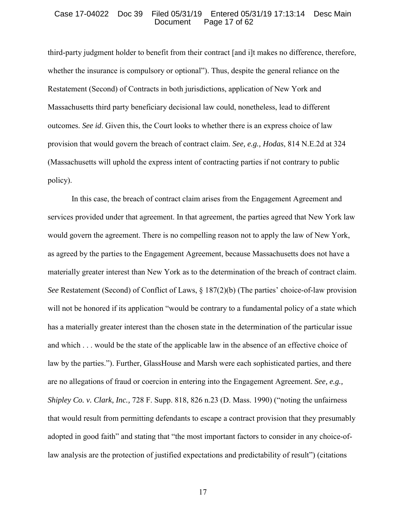### Case 17-04022 Doc 39 Filed 05/31/19 Entered 05/31/19 17:13:14 Desc Main Page 17 of 62

third-party judgment holder to benefit from their contract [and i]t makes no difference, therefore, whether the insurance is compulsory or optional"). Thus, despite the general reliance on the Restatement (Second) of Contracts in both jurisdictions, application of New York and Massachusetts third party beneficiary decisional law could, nonetheless, lead to different outcomes. *See id*. Given this, the Court looks to whether there is an express choice of law provision that would govern the breach of contract claim. *See, e.g., Hodas*, 814 N.E.2d at 324 (Massachusetts will uphold the express intent of contracting parties if not contrary to public policy).

In this case, the breach of contract claim arises from the Engagement Agreement and services provided under that agreement. In that agreement, the parties agreed that New York law would govern the agreement. There is no compelling reason not to apply the law of New York, as agreed by the parties to the Engagement Agreement, because Massachusetts does not have a materially greater interest than New York as to the determination of the breach of contract claim. *See* Restatement (Second) of Conflict of Laws, § 187(2)(b) (The parties' choice-of-law provision will not be honored if its application "would be contrary to a fundamental policy of a state which has a materially greater interest than the chosen state in the determination of the particular issue and which . . . would be the state of the applicable law in the absence of an effective choice of law by the parties."). Further, GlassHouse and Marsh were each sophisticated parties, and there are no allegations of fraud or coercion in entering into the Engagement Agreement. *See, e.g., Shipley Co. v. Clark, Inc.,* 728 F. Supp. 818, 826 n.23 (D. Mass. 1990) ("noting the unfairness that would result from permitting defendants to escape a contract provision that they presumably adopted in good faith" and stating that "the most important factors to consider in any choice-oflaw analysis are the protection of justified expectations and predictability of result") (citations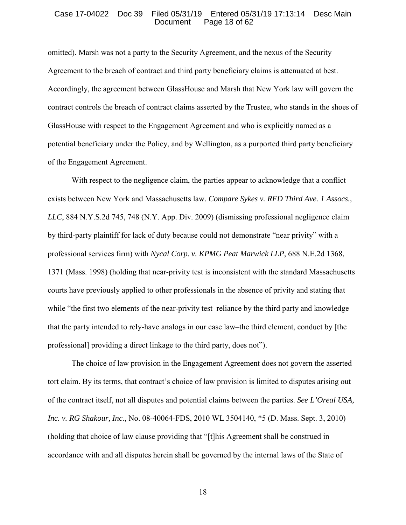#### Case 17-04022 Doc 39 Filed 05/31/19 Entered 05/31/19 17:13:14 Desc Main Page 18 of 62

omitted). Marsh was not a party to the Security Agreement, and the nexus of the Security Agreement to the breach of contract and third party beneficiary claims is attenuated at best. Accordingly, the agreement between GlassHouse and Marsh that New York law will govern the contract controls the breach of contract claims asserted by the Trustee, who stands in the shoes of GlassHouse with respect to the Engagement Agreement and who is explicitly named as a potential beneficiary under the Policy, and by Wellington, as a purported third party beneficiary of the Engagement Agreement.

With respect to the negligence claim, the parties appear to acknowledge that a conflict exists between New York and Massachusetts law. *Compare Sykes v. RFD Third Ave. 1 Assocs., LLC*, 884 N.Y.S.2d 745, 748 (N.Y. App. Div. 2009) (dismissing professional negligence claim by third-party plaintiff for lack of duty because could not demonstrate "near privity" with a professional services firm) with *Nycal Corp. v. KPMG Peat Marwick LLP*, 688 N.E.2d 1368, 1371 (Mass. 1998) (holding that near-privity test is inconsistent with the standard Massachusetts courts have previously applied to other professionals in the absence of privity and stating that while "the first two elements of the near-privity test–reliance by the third party and knowledge that the party intended to rely-have analogs in our case law–the third element, conduct by [the professional] providing a direct linkage to the third party, does not").

The choice of law provision in the Engagement Agreement does not govern the asserted tort claim. By its terms, that contract's choice of law provision is limited to disputes arising out of the contract itself, not all disputes and potential claims between the parties. *See L'Oreal USA, Inc. v. RG Shakour, Inc.*, No. 08-40064-FDS, 2010 WL 3504140, \*5 (D. Mass. Sept. 3, 2010) (holding that choice of law clause providing that "[t]his Agreement shall be construed in accordance with and all disputes herein shall be governed by the internal laws of the State of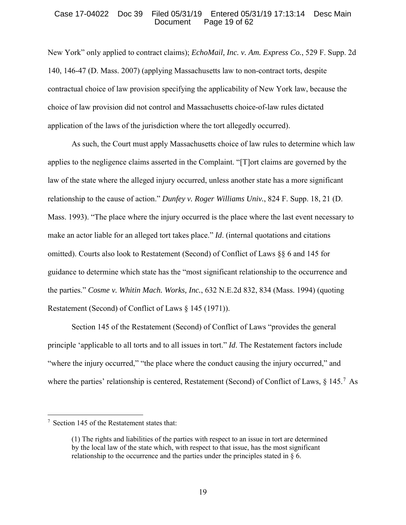## Case 17-04022 Doc 39 Filed 05/31/19 Entered 05/31/19 17:13:14 Desc Main Page 19 of  $62$

New York" only applied to contract claims); *EchoMail, Inc. v. Am. Express Co.*, 529 F. Supp. 2d 140, 146-47 (D. Mass. 2007) (applying Massachusetts law to non-contract torts, despite contractual choice of law provision specifying the applicability of New York law, because the choice of law provision did not control and Massachusetts choice-of-law rules dictated application of the laws of the jurisdiction where the tort allegedly occurred).

As such, the Court must apply Massachusetts choice of law rules to determine which law applies to the negligence claims asserted in the Complaint. "[T]ort claims are governed by the law of the state where the alleged injury occurred, unless another state has a more significant relationship to the cause of action." *Dunfey v. Roger Williams Univ.*, 824 F. Supp. 18, 21 (D. Mass. 1993). "The place where the injury occurred is the place where the last event necessary to make an actor liable for an alleged tort takes place." *Id*. (internal quotations and citations omitted). Courts also look to Restatement (Second) of Conflict of Laws §§ 6 and 145 for guidance to determine which state has the "most significant relationship to the occurrence and the parties." *Cosme v. Whitin Mach. Works, Inc.*, 632 N.E.2d 832, 834 (Mass. 1994) (quoting Restatement (Second) of Conflict of Laws § 145 (1971)).

Section 145 of the Restatement (Second) of Conflict of Laws "provides the general principle 'applicable to all torts and to all issues in tort." *Id*. The Restatement factors include "where the injury occurred," "the place where the conduct causing the injury occurred," and where the parties' relationship is centered, Restatement (Second) of Conflict of Laws,  $\S 145$ .<sup>7</sup> As

<sup>7</sup> Section 145 of the Restatement states that:

<sup>(1)</sup> The rights and liabilities of the parties with respect to an issue in tort are determined by the local law of the state which, with respect to that issue, has the most significant relationship to the occurrence and the parties under the principles stated in  $\S 6$ .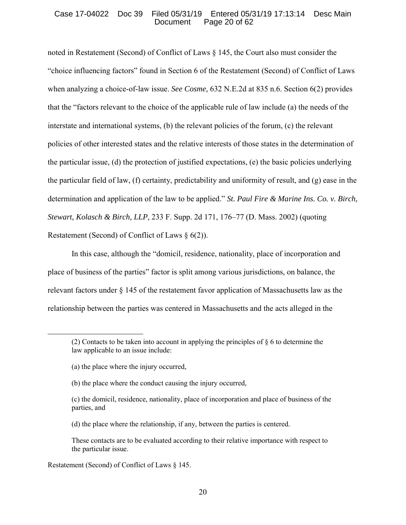## Case 17-04022 Doc 39 Filed 05/31/19 Entered 05/31/19 17:13:14 Desc Main Page 20 of  $62$

noted in Restatement (Second) of Conflict of Laws § 145, the Court also must consider the "choice influencing factors" found in Section 6 of the Restatement (Second) of Conflict of Laws when analyzing a choice-of-law issue. *See Cosme*, 632 N.E.2d at 835 n.6. Section 6(2) provides that the "factors relevant to the choice of the applicable rule of law include (a) the needs of the interstate and international systems, (b) the relevant policies of the forum, (c) the relevant policies of other interested states and the relative interests of those states in the determination of the particular issue, (d) the protection of justified expectations, (e) the basic policies underlying the particular field of law, (f) certainty, predictability and uniformity of result, and (g) ease in the determination and application of the law to be applied." *St. Paul Fire & Marine Ins. Co. v. Birch, Stewart, Kolasch & Birch, LLP*, 233 F. Supp. 2d 171, 176–77 (D. Mass. 2002) (quoting Restatement (Second) of Conflict of Laws § 6(2)).

In this case, although the "domicil, residence, nationality, place of incorporation and place of business of the parties" factor is split among various jurisdictions, on balance, the relevant factors under § 145 of the restatement favor application of Massachusetts law as the relationship between the parties was centered in Massachusetts and the acts alleged in the

(a) the place where the injury occurred,

 $\overline{a}$ 

- (b) the place where the conduct causing the injury occurred,
- (c) the domicil, residence, nationality, place of incorporation and place of business of the parties, and
- (d) the place where the relationship, if any, between the parties is centered.

Restatement (Second) of Conflict of Laws § 145.

<sup>(2)</sup> Contacts to be taken into account in applying the principles of  $\S 6$  to determine the law applicable to an issue include:

These contacts are to be evaluated according to their relative importance with respect to the particular issue.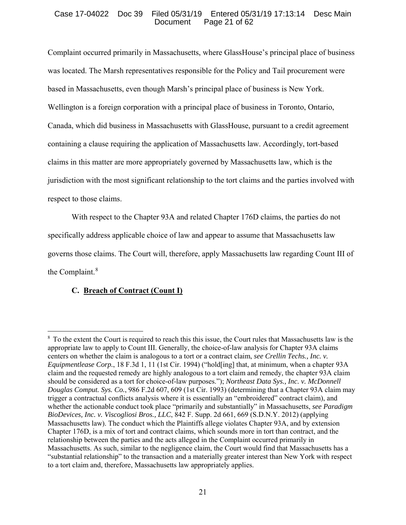# Case 17-04022 Doc 39 Filed 05/31/19 Entered 05/31/19 17:13:14 Desc Main Page 21 of  $62$

Complaint occurred primarily in Massachusetts, where GlassHouse's principal place of business was located. The Marsh representatives responsible for the Policy and Tail procurement were based in Massachusetts, even though Marsh's principal place of business is New York. Wellington is a foreign corporation with a principal place of business in Toronto, Ontario, Canada, which did business in Massachusetts with GlassHouse, pursuant to a credit agreement containing a clause requiring the application of Massachusetts law. Accordingly, tort-based claims in this matter are more appropriately governed by Massachusetts law, which is the jurisdiction with the most significant relationship to the tort claims and the parties involved with respect to those claims.

With respect to the Chapter 93A and related Chapter 176D claims, the parties do not specifically address applicable choice of law and appear to assume that Massachusetts law governs those claims. The Court will, therefore, apply Massachusetts law regarding Count III of the Complaint. $8$ 

# **C. Breach of Contract (Count I)**

 $\overline{a}$ <sup>8</sup> To the extent the Court is required to reach this this issue, the Court rules that Massachusetts law is the appropriate law to apply to Count III. Generally, the choice-of-law analysis for Chapter 93A claims centers on whether the claim is analogous to a tort or a contract claim, *see Crellin Techs., Inc. v. Equipmentlease Corp.*, 18 F.3d 1, 11 (1st Cir. 1994) ("hold[ing] that, at minimum, when a chapter 93A claim and the requested remedy are highly analogous to a tort claim and remedy, the chapter 93A claim should be considered as a tort for choice-of-law purposes."); *Northeast Data Sys., Inc. v. McDonnell Douglas Comput. Sys. Co.*, 986 F.2d 607, 609 (1st Cir. 1993) (determining that a Chapter 93A claim may trigger a contractual conflicts analysis where it is essentially an "embroidered" contract claim), and whether the actionable conduct took place "primarily and substantially" in Massachusetts, *see Paradigm BioDevices, Inc. v. Viscogliosi Bros., LLC*, 842 F. Supp. 2d 661, 669 (S.D.N.Y. 2012) (applying Massachusetts law). The conduct which the Plaintiffs allege violates Chapter 93A, and by extension Chapter 176D, is a mix of tort and contract claims, which sounds more in tort than contract, and the relationship between the parties and the acts alleged in the Complaint occurred primarily in Massachusetts. As such, similar to the negligence claim, the Court would find that Massachusetts has a "substantial relationship" to the transaction and a materially greater interest than New York with respect to a tort claim and, therefore, Massachusetts law appropriately applies.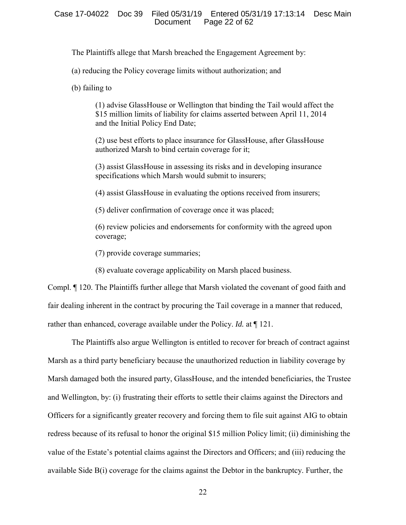The Plaintiffs allege that Marsh breached the Engagement Agreement by:

(a) reducing the Policy coverage limits without authorization; and

(b) failing to

(1) advise GlassHouse or Wellington that binding the Tail would affect the \$15 million limits of liability for claims asserted between April 11, 2014 and the Initial Policy End Date;

(2) use best efforts to place insurance for GlassHouse, after GlassHouse authorized Marsh to bind certain coverage for it;

(3) assist GlassHouse in assessing its risks and in developing insurance specifications which Marsh would submit to insurers;

(4) assist GlassHouse in evaluating the options received from insurers;

(5) deliver confirmation of coverage once it was placed;

(6) review policies and endorsements for conformity with the agreed upon coverage;

(7) provide coverage summaries;

(8) evaluate coverage applicability on Marsh placed business.

Compl. ¶ 120. The Plaintiffs further allege that Marsh violated the covenant of good faith and fair dealing inherent in the contract by procuring the Tail coverage in a manner that reduced, rather than enhanced, coverage available under the Policy. *Id.* at ¶ 121.

The Plaintiffs also argue Wellington is entitled to recover for breach of contract against Marsh as a third party beneficiary because the unauthorized reduction in liability coverage by Marsh damaged both the insured party, GlassHouse, and the intended beneficiaries, the Trustee and Wellington, by: (i) frustrating their efforts to settle their claims against the Directors and Officers for a significantly greater recovery and forcing them to file suit against AIG to obtain redress because of its refusal to honor the original \$15 million Policy limit; (ii) diminishing the value of the Estate's potential claims against the Directors and Officers; and (iii) reducing the available Side B(i) coverage for the claims against the Debtor in the bankruptcy. Further, the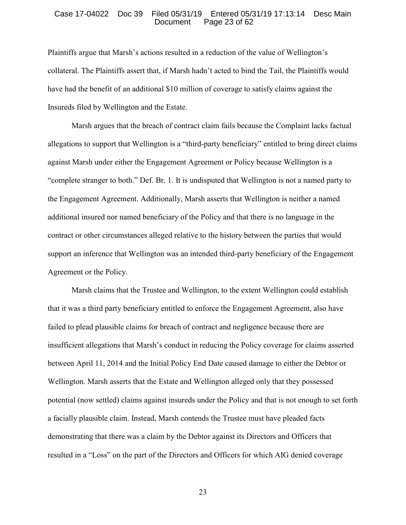#### Case 17-04022 Doc 39 Filed 05/31/19 Entered 05/31/19 17:13:14 Desc Main Page 23 of  $62$

Plaintiffs argue that Marsh's actions resulted in a reduction of the value of Wellington's collateral. The Plaintiffs assert that, if Marsh hadn't acted to bind the Tail, the Plaintiffs would have had the benefit of an additional \$10 million of coverage to satisfy claims against the Insureds filed by Wellington and the Estate.

Marsh argues that the breach of contract claim fails because the Complaint lacks factual allegations to support that Wellington is a "third-party beneficiary" entitled to bring direct claims against Marsh under either the Engagement Agreement or Policy because Wellington is a "complete stranger to both." Def. Br. 1. It is undisputed that Wellington is not a named party to the Engagement Agreement. Additionally, Marsh asserts that Wellington is neither a named additional insured nor named beneficiary of the Policy and that there is no language in the contract or other circumstances alleged relative to the history between the parties that would support an inference that Wellington was an intended third-party beneficiary of the Engagement Agreement or the Policy.

Marsh claims that the Trustee and Wellington, to the extent Wellington could establish that it was a third party beneficiary entitled to enforce the Engagement Agreement, also have failed to plead plausible claims for breach of contract and negligence because there are insufficient allegations that Marsh's conduct in reducing the Policy coverage for claims asserted between April 11, 2014 and the Initial Policy End Date caused damage to either the Debtor or Wellington. Marsh asserts that the Estate and Wellington alleged only that they possessed potential (now settled) claims against insureds under the Policy and that is not enough to set forth a facially plausible claim. Instead, Marsh contends the Trustee must have pleaded facts demonstrating that there was a claim by the Debtor against its Directors and Officers that resulted in a "Loss" on the part of the Directors and Officers for which AIG denied coverage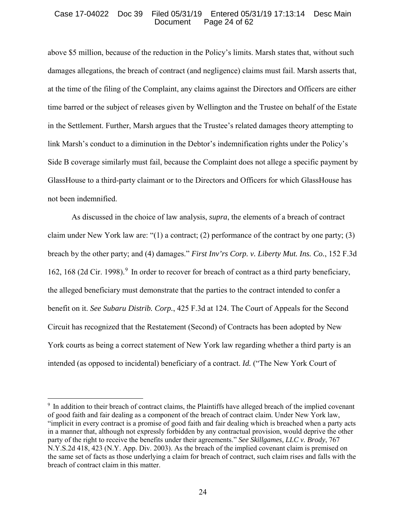## Case 17-04022 Doc 39 Filed 05/31/19 Entered 05/31/19 17:13:14 Desc Main Page 24 of  $62$

above \$5 million, because of the reduction in the Policy's limits. Marsh states that, without such damages allegations, the breach of contract (and negligence) claims must fail. Marsh asserts that, at the time of the filing of the Complaint, any claims against the Directors and Officers are either time barred or the subject of releases given by Wellington and the Trustee on behalf of the Estate in the Settlement. Further, Marsh argues that the Trustee's related damages theory attempting to link Marsh's conduct to a diminution in the Debtor's indemnification rights under the Policy's Side B coverage similarly must fail, because the Complaint does not allege a specific payment by GlassHouse to a third-party claimant or to the Directors and Officers for which GlassHouse has not been indemnified.

As discussed in the choice of law analysis, *supra*, the elements of a breach of contract claim under New York law are: " $(1)$  a contract;  $(2)$  performance of the contract by one party;  $(3)$ breach by the other party; and (4) damages." *First Inv'rs Corp. v. Liberty Mut. Ins. Co.*, 152 F.3d 162, 168 (2d Cir. 1998).<sup>9</sup> In order to recover for breach of contract as a third party beneficiary, the alleged beneficiary must demonstrate that the parties to the contract intended to confer a benefit on it. *See Subaru Distrib. Corp.*, 425 F.3d at 124. The Court of Appeals for the Second Circuit has recognized that the Restatement (Second) of Contracts has been adopted by New York courts as being a correct statement of New York law regarding whether a third party is an intended (as opposed to incidental) beneficiary of a contract. *Id.* ("The New York Court of

<sup>&</sup>lt;sup>9</sup> In addition to their breach of contract claims, the Plaintiffs have alleged breach of the implied covenant of good faith and fair dealing as a component of the breach of contract claim. Under New York law, "implicit in every contract is a promise of good faith and fair dealing which is breached when a party acts in a manner that, although not expressly forbidden by any contractual provision, would deprive the other party of the right to receive the benefits under their agreements." *See Skillgames, LLC v. Brody*, 767 N.Y.S.2d 418, 423 (N.Y. App. Div. 2003). As the breach of the implied covenant claim is premised on the same set of facts as those underlying a claim for breach of contract, such claim rises and falls with the breach of contract claim in this matter.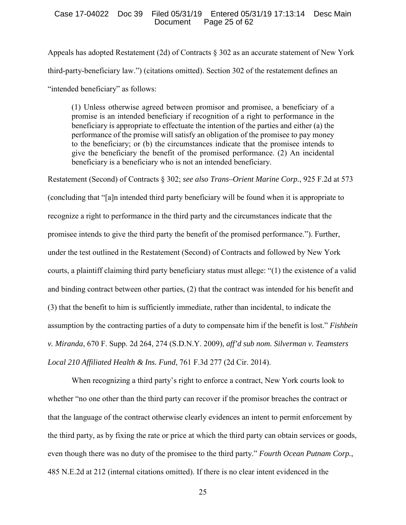## Case 17-04022 Doc 39 Filed 05/31/19 Entered 05/31/19 17:13:14 Desc Main Page 25 of  $62$

Appeals has adopted Restatement (2d) of Contracts § 302 as an accurate statement of New York third-party-beneficiary law.") (citations omitted). Section 302 of the restatement defines an "intended beneficiary" as follows:

(1) Unless otherwise agreed between promisor and promisee, a beneficiary of a promise is an intended beneficiary if recognition of a right to performance in the beneficiary is appropriate to effectuate the intention of the parties and either (a) the performance of the promise will satisfy an obligation of the promisee to pay money to the beneficiary; or (b) the circumstances indicate that the promisee intends to give the beneficiary the benefit of the promised performance. (2) An incidental beneficiary is a beneficiary who is not an intended beneficiary.

Restatement (Second) of Contracts § 302; *see also Trans–Orient Marine Corp.*, 925 F.2d at 573 (concluding that "[a]n intended third party beneficiary will be found when it is appropriate to recognize a right to performance in the third party and the circumstances indicate that the promisee intends to give the third party the benefit of the promised performance."). Further, under the test outlined in the Restatement (Second) of Contracts and followed by New York courts, a plaintiff claiming third party beneficiary status must allege: "(1) the existence of a valid and binding contract between other parties, (2) that the contract was intended for his benefit and (3) that the benefit to him is sufficiently immediate, rather than incidental, to indicate the assumption by the contracting parties of a duty to compensate him if the benefit is lost." *Fishbein v. Miranda*, 670 F. Supp. 2d 264, 274 (S.D.N.Y. 2009), *aff'd sub nom. Silverman v. Teamsters Local 210 Affiliated Health & Ins. Fund*, 761 F.3d 277 (2d Cir. 2014).

When recognizing a third party's right to enforce a contract, New York courts look to whether "no one other than the third party can recover if the promisor breaches the contract or that the language of the contract otherwise clearly evidences an intent to permit enforcement by the third party, as by fixing the rate or price at which the third party can obtain services or goods, even though there was no duty of the promisee to the third party." *Fourth Ocean Putnam Corp.*, 485 N.E.2d at 212 (internal citations omitted). If there is no clear intent evidenced in the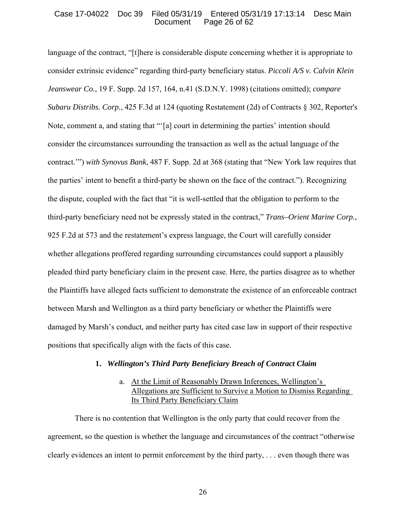## Case 17-04022 Doc 39 Filed 05/31/19 Entered 05/31/19 17:13:14 Desc Main Page 26 of  $62$

language of the contract, "[t]here is considerable dispute concerning whether it is appropriate to consider extrinsic evidence" regarding third-party beneficiary status. *Piccoli A/S v. Calvin Klein Jeanswear Co.*, 19 F. Supp. 2d 157, 164, n.41 (S.D.N.Y. 1998) (citations omitted); *compare Subaru Distribs. Corp.*, 425 F.3d at 124 (quoting Restatement (2d) of Contracts § 302, Reporter's Note, comment a, and stating that "'[a] court in determining the parties' intention should consider the circumstances surrounding the transaction as well as the actual language of the contract.'") *with Synovus Bank*, 487 F. Supp. 2d at 368 (stating that "New York law requires that the parties' intent to benefit a third-party be shown on the face of the contract."). Recognizing the dispute, coupled with the fact that "it is well-settled that the obligation to perform to the third-party beneficiary need not be expressly stated in the contract," *Trans–Orient Marine Corp.*, 925 F.2d at 573 and the restatement's express language, the Court will carefully consider whether allegations proffered regarding surrounding circumstances could support a plausibly pleaded third party beneficiary claim in the present case. Here, the parties disagree as to whether the Plaintiffs have alleged facts sufficient to demonstrate the existence of an enforceable contract between Marsh and Wellington as a third party beneficiary or whether the Plaintiffs were damaged by Marsh's conduct, and neither party has cited case law in support of their respective positions that specifically align with the facts of this case.

# **1.** *Wellington's Third Party Beneficiary Breach of Contract Claim*

# a. At the Limit of Reasonably Drawn Inferences, Wellington's Allegations are Sufficient to Survive a Motion to Dismiss Regarding Its Third Party Beneficiary Claim

 There is no contention that Wellington is the only party that could recover from the agreement, so the question is whether the language and circumstances of the contract "otherwise clearly evidences an intent to permit enforcement by the third party, . . . even though there was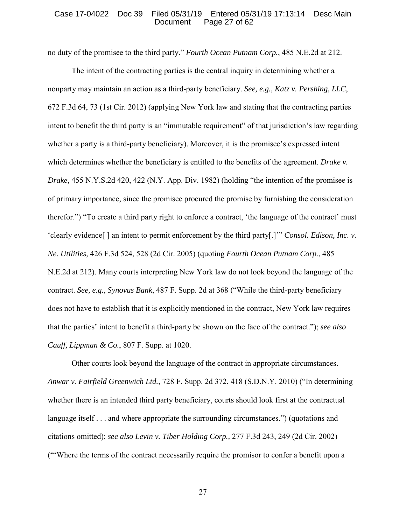## Case 17-04022 Doc 39 Filed 05/31/19 Entered 05/31/19 17:13:14 Desc Main Page 27 of 62

no duty of the promisee to the third party." *Fourth Ocean Putnam Corp.*, 485 N.E.2d at 212.

The intent of the contracting parties is the central inquiry in determining whether a nonparty may maintain an action as a third-party beneficiary. *See, e.g., Katz v. Pershing, LLC*, 672 F.3d 64, 73 (1st Cir. 2012) (applying New York law and stating that the contracting parties intent to benefit the third party is an "immutable requirement" of that jurisdiction's law regarding whether a party is a third-party beneficiary). Moreover, it is the promisee's expressed intent which determines whether the beneficiary is entitled to the benefits of the agreement. *Drake v*. *Drake*, 455 N.Y.S.2d 420, 422 (N.Y. App. Div. 1982) (holding "the intention of the promisee is of primary importance, since the promisee procured the promise by furnishing the consideration therefor.") "To create a third party right to enforce a contract, 'the language of the contract' must 'clearly evidence[ ] an intent to permit enforcement by the third party[.]'" *Consol. Edison, Inc. v. Ne. Utilities*, 426 F.3d 524, 528 (2d Cir. 2005) (quoting *Fourth Ocean Putnam Corp.*, 485 N.E.2d at 212). Many courts interpreting New York law do not look beyond the language of the contract. *See, e.g.*, *Synovus Bank*, 487 F. Supp. 2d at 368 ("While the third-party beneficiary does not have to establish that it is explicitly mentioned in the contract, New York law requires that the parties' intent to benefit a third-party be shown on the face of the contract."); *see also Cauff, Lippman & Co.*, 807 F. Supp. at 1020.

Other courts look beyond the language of the contract in appropriate circumstances. *Anwar v. Fairfield Greenwich Ltd.*, 728 F. Supp. 2d 372, 418 (S.D.N.Y. 2010) ("In determining whether there is an intended third party beneficiary, courts should look first at the contractual language itself . . . and where appropriate the surrounding circumstances.") (quotations and citations omitted); *see also Levin v. Tiber Holding Corp.,* 277 F.3d 243, 249 (2d Cir. 2002) ("'Where the terms of the contract necessarily require the promisor to confer a benefit upon a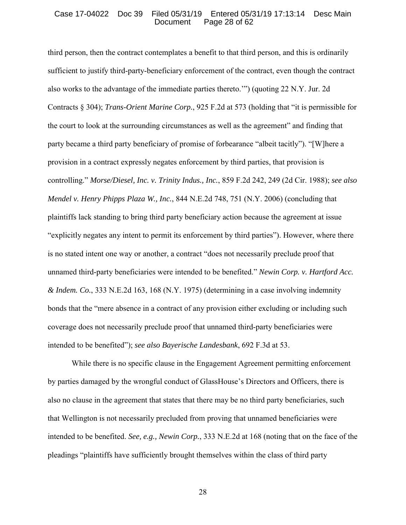## Case 17-04022 Doc 39 Filed 05/31/19 Entered 05/31/19 17:13:14 Desc Main Page 28 of 62

third person, then the contract contemplates a benefit to that third person, and this is ordinarily sufficient to justify third-party-beneficiary enforcement of the contract, even though the contract also works to the advantage of the immediate parties thereto.'") (quoting 22 N.Y. Jur. 2d Contracts § 304); *Trans-Orient Marine Corp.*, 925 F.2d at 573 (holding that "it is permissible for the court to look at the surrounding circumstances as well as the agreement" and finding that party became a third party beneficiary of promise of forbearance "albeit tacitly"). "[W]here a provision in a contract expressly negates enforcement by third parties, that provision is controlling." *Morse/Diesel, Inc. v. Trinity Indus., Inc.*, 859 F.2d 242, 249 (2d Cir. 1988); *see also Mendel v. Henry Phipps Plaza W., Inc.*, 844 N.E.2d 748, 751 (N.Y. 2006) (concluding that plaintiffs lack standing to bring third party beneficiary action because the agreement at issue "explicitly negates any intent to permit its enforcement by third parties"). However, where there is no stated intent one way or another, a contract "does not necessarily preclude proof that unnamed third-party beneficiaries were intended to be benefited." *Newin Corp. v. Hartford Acc. & Indem. Co.*, 333 N.E.2d 163, 168 (N.Y. 1975) (determining in a case involving indemnity bonds that the "mere absence in a contract of any provision either excluding or including such coverage does not necessarily preclude proof that unnamed third-party beneficiaries were intended to be benefited"); *see also Bayerische Landesbank*, 692 F.3d at 53.

While there is no specific clause in the Engagement Agreement permitting enforcement by parties damaged by the wrongful conduct of GlassHouse's Directors and Officers, there is also no clause in the agreement that states that there may be no third party beneficiaries, such that Wellington is not necessarily precluded from proving that unnamed beneficiaries were intended to be benefited. *See, e.g., Newin Corp.*, 333 N.E.2d at 168 (noting that on the face of the pleadings "plaintiffs have sufficiently brought themselves within the class of third party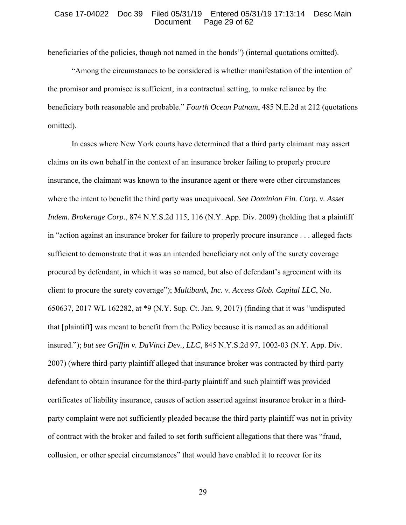## Case 17-04022 Doc 39 Filed 05/31/19 Entered 05/31/19 17:13:14 Desc Main Page 29 of 62

beneficiaries of the policies, though not named in the bonds") (internal quotations omitted).

"Among the circumstances to be considered is whether manifestation of the intention of the promisor and promisee is sufficient, in a contractual setting, to make reliance by the beneficiary both reasonable and probable." *Fourth Ocean Putnam*, 485 N.E.2d at 212 (quotations omitted).

In cases where New York courts have determined that a third party claimant may assert claims on its own behalf in the context of an insurance broker failing to properly procure insurance, the claimant was known to the insurance agent or there were other circumstances where the intent to benefit the third party was unequivocal. *See Dominion Fin. Corp. v. Asset Indem. Brokerage Corp.*, 874 N.Y.S.2d 115, 116 (N.Y. App. Div. 2009) (holding that a plaintiff in "action against an insurance broker for failure to properly procure insurance . . . alleged facts sufficient to demonstrate that it was an intended beneficiary not only of the surety coverage procured by defendant, in which it was so named, but also of defendant's agreement with its client to procure the surety coverage"); *Multibank, Inc. v. Access Glob. Capital LLC*, No. 650637, 2017 WL 162282, at \*9 (N.Y. Sup. Ct. Jan. 9, 2017) (finding that it was "undisputed that [plaintiff] was meant to benefit from the Policy because it is named as an additional insured."); *but see Griffin v. DaVinci Dev., LLC*, 845 N.Y.S.2d 97, 1002-03 (N.Y. App. Div. 2007) (where third-party plaintiff alleged that insurance broker was contracted by third-party defendant to obtain insurance for the third-party plaintiff and such plaintiff was provided certificates of liability insurance, causes of action asserted against insurance broker in a thirdparty complaint were not sufficiently pleaded because the third party plaintiff was not in privity of contract with the broker and failed to set forth sufficient allegations that there was "fraud, collusion, or other special circumstances" that would have enabled it to recover for its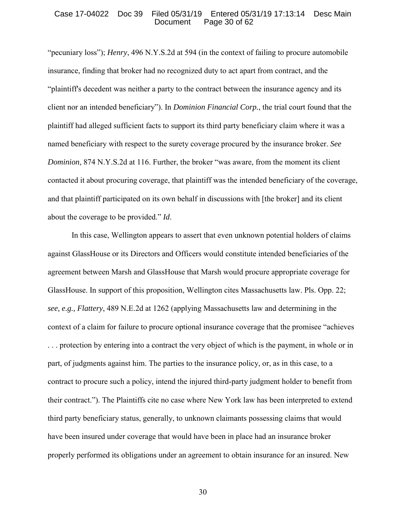## Case 17-04022 Doc 39 Filed 05/31/19 Entered 05/31/19 17:13:14 Desc Main Page 30 of 62

"pecuniary loss"); *Henry*, 496 N.Y.S.2d at 594 (in the context of failing to procure automobile insurance, finding that broker had no recognized duty to act apart from contract, and the "plaintiff's decedent was neither a party to the contract between the insurance agency and its client nor an intended beneficiary"). In *Dominion Financial Corp.*, the trial court found that the plaintiff had alleged sufficient facts to support its third party beneficiary claim where it was a named beneficiary with respect to the surety coverage procured by the insurance broker. *See Dominion*, 874 N.Y.S.2d at 116. Further, the broker "was aware, from the moment its client contacted it about procuring coverage, that plaintiff was the intended beneficiary of the coverage, and that plaintiff participated on its own behalf in discussions with [the broker] and its client about the coverage to be provided." *Id*.

In this case, Wellington appears to assert that even unknown potential holders of claims against GlassHouse or its Directors and Officers would constitute intended beneficiaries of the agreement between Marsh and GlassHouse that Marsh would procure appropriate coverage for GlassHouse. In support of this proposition, Wellington cites Massachusetts law. Pls. Opp. 22; *see, e.g., Flattery*, 489 N.E.2d at 1262 (applying Massachusetts law and determining in the context of a claim for failure to procure optional insurance coverage that the promisee "achieves . . . protection by entering into a contract the very object of which is the payment, in whole or in part, of judgments against him. The parties to the insurance policy, or, as in this case, to a contract to procure such a policy, intend the injured third-party judgment holder to benefit from their contract."). The Plaintiffs cite no case where New York law has been interpreted to extend third party beneficiary status, generally, to unknown claimants possessing claims that would have been insured under coverage that would have been in place had an insurance broker properly performed its obligations under an agreement to obtain insurance for an insured. New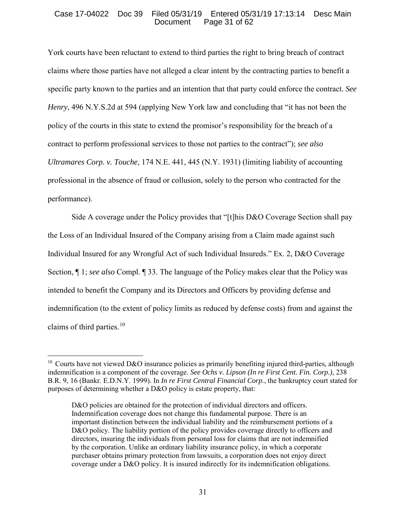# Case 17-04022 Doc 39 Filed 05/31/19 Entered 05/31/19 17:13:14 Desc Main Page 31 of 62

York courts have been reluctant to extend to third parties the right to bring breach of contract claims where those parties have not alleged a clear intent by the contracting parties to benefit a specific party known to the parties and an intention that that party could enforce the contract. *See Henry*, 496 N.Y.S.2d at 594 (applying New York law and concluding that "it has not been the policy of the courts in this state to extend the promisor's responsibility for the breach of a contract to perform professional services to those not parties to the contract"); *see also Ultramares Corp. v. Touche*, 174 N.E. 441, 445 (N.Y. 1931) (limiting liability of accounting professional in the absence of fraud or collusion, solely to the person who contracted for the performance).

Side A coverage under the Policy provides that "[t]his D&O Coverage Section shall pay the Loss of an Individual Insured of the Company arising from a Claim made against such Individual Insured for any Wrongful Act of such Individual Insureds." Ex. 2, D&O Coverage Section, ¶ 1; *see also* Compl. ¶ 33. The language of the Policy makes clear that the Policy was intended to benefit the Company and its Directors and Officers by providing defense and indemnification (to the extent of policy limits as reduced by defense costs) from and against the claims of third parties. $10$ 

 $\overline{a}$ 

<sup>&</sup>lt;sup>10</sup> Courts have not viewed D&O insurance policies as primarily benefiting injured third-parties, although indemnification is a component of the coverage. *See Ochs v. Lipson (In re First Cent. Fin. Corp.)*, 238 B.R. 9, 16 (Bankr. E.D.N.Y. 1999). In *In re First Central Financial Corp.*, the bankruptcy court stated for purposes of determining whether a D&O policy is estate property, that:

D&O policies are obtained for the protection of individual directors and officers. Indemnification coverage does not change this fundamental purpose. There is an important distinction between the individual liability and the reimbursement portions of a D&O policy. The liability portion of the policy provides coverage directly to officers and directors, insuring the individuals from personal loss for claims that are not indemnified by the corporation. Unlike an ordinary liability insurance policy, in which a corporate purchaser obtains primary protection from lawsuits, a corporation does not enjoy direct coverage under a D&O policy. It is insured indirectly for its indemnification obligations.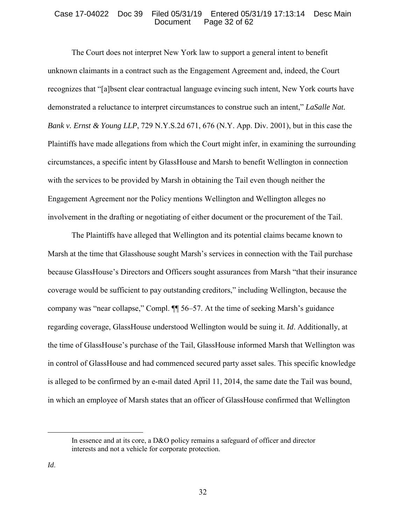## Case 17-04022 Doc 39 Filed 05/31/19 Entered 05/31/19 17:13:14 Desc Main Page 32 of 62

The Court does not interpret New York law to support a general intent to benefit unknown claimants in a contract such as the Engagement Agreement and, indeed, the Court recognizes that "[a]bsent clear contractual language evincing such intent, New York courts have demonstrated a reluctance to interpret circumstances to construe such an intent," *LaSalle Nat. Bank v. Ernst & Young LLP*, 729 N.Y.S.2d 671, 676 (N.Y. App. Div. 2001), but in this case the Plaintiffs have made allegations from which the Court might infer, in examining the surrounding circumstances, a specific intent by GlassHouse and Marsh to benefit Wellington in connection with the services to be provided by Marsh in obtaining the Tail even though neither the Engagement Agreement nor the Policy mentions Wellington and Wellington alleges no involvement in the drafting or negotiating of either document or the procurement of the Tail.

The Plaintiffs have alleged that Wellington and its potential claims became known to Marsh at the time that Glasshouse sought Marsh's services in connection with the Tail purchase because GlassHouse's Directors and Officers sought assurances from Marsh "that their insurance coverage would be sufficient to pay outstanding creditors," including Wellington, because the company was "near collapse," Compl. ¶¶ 56–57. At the time of seeking Marsh's guidance regarding coverage, GlassHouse understood Wellington would be suing it. *Id*. Additionally, at the time of GlassHouse's purchase of the Tail, GlassHouse informed Marsh that Wellington was in control of GlassHouse and had commenced secured party asset sales. This specific knowledge is alleged to be confirmed by an e-mail dated April 11, 2014, the same date the Tail was bound, in which an employee of Marsh states that an officer of GlassHouse confirmed that Wellington

In essence and at its core, a D&O policy remains a safeguard of officer and director interests and not a vehicle for corporate protection.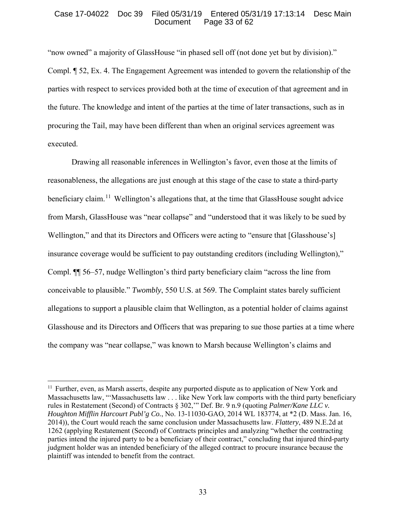## Case 17-04022 Doc 39 Filed 05/31/19 Entered 05/31/19 17:13:14 Desc Main Page 33 of  $62$

"now owned" a majority of GlassHouse "in phased sell off (not done yet but by division)." Compl. ¶ 52, Ex. 4. The Engagement Agreement was intended to govern the relationship of the parties with respect to services provided both at the time of execution of that agreement and in the future. The knowledge and intent of the parties at the time of later transactions, such as in procuring the Tail, may have been different than when an original services agreement was executed.

Drawing all reasonable inferences in Wellington's favor, even those at the limits of reasonableness, the allegations are just enough at this stage of the case to state a third-party beneficiary claim.<sup>11</sup> Wellington's allegations that, at the time that GlassHouse sought advice from Marsh, GlassHouse was "near collapse" and "understood that it was likely to be sued by Wellington," and that its Directors and Officers were acting to "ensure that [Glasshouse's] insurance coverage would be sufficient to pay outstanding creditors (including Wellington)," Compl. ¶¶ 56–57, nudge Wellington's third party beneficiary claim "across the line from conceivable to plausible." *Twombly*, 550 U.S. at 569. The Complaint states barely sufficient allegations to support a plausible claim that Wellington, as a potential holder of claims against Glasshouse and its Directors and Officers that was preparing to sue those parties at a time where the company was "near collapse," was known to Marsh because Wellington's claims and

 $\overline{a}$ 

 $11$  Further, even, as Marsh asserts, despite any purported dispute as to application of New York and Massachusetts law, "'Massachusetts law . . . like New York law comports with the third party beneficiary rules in Restatement (Second) of Contracts § 302,'" Def. Br. 9 n.9 (quoting *Palmer/Kane LLC v. Houghton Mifflin Harcourt Publ'g Co.*, No. 13-11030-GAO, 2014 WL 183774, at \*2 (D. Mass. Jan. 16, 2014)), the Court would reach the same conclusion under Massachusetts law. *Flattery*, 489 N.E.2d at 1262 (applying Restatement (Second) of Contracts principles and analyzing "whether the contracting parties intend the injured party to be a beneficiary of their contract," concluding that injured third-party judgment holder was an intended beneficiary of the alleged contract to procure insurance because the plaintiff was intended to benefit from the contract.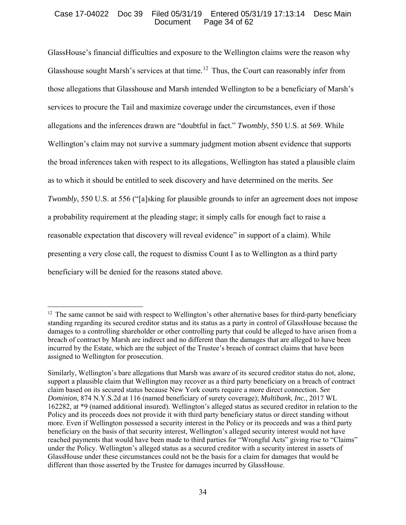# Case 17-04022 Doc 39 Filed 05/31/19 Entered 05/31/19 17:13:14 Desc Main Page 34 of  $62$

GlassHouse's financial difficulties and exposure to the Wellington claims were the reason why Glasshouse sought Marsh's services at that time.<sup>12</sup> Thus, the Court can reasonably infer from those allegations that Glasshouse and Marsh intended Wellington to be a beneficiary of Marsh's services to procure the Tail and maximize coverage under the circumstances, even if those allegations and the inferences drawn are "doubtful in fact." *Twombly*, 550 U.S. at 569. While Wellington's claim may not survive a summary judgment motion absent evidence that supports the broad inferences taken with respect to its allegations, Wellington has stated a plausible claim as to which it should be entitled to seek discovery and have determined on the merits. *See Twombly*, 550 U.S. at 556 ("[a]sking for plausible grounds to infer an agreement does not impose a probability requirement at the pleading stage; it simply calls for enough fact to raise a reasonable expectation that discovery will reveal evidence" in support of a claim). While presenting a very close call, the request to dismiss Count I as to Wellington as a third party beneficiary will be denied for the reasons stated above.

 $\overline{a}$ 

 $12$  The same cannot be said with respect to Wellington's other alternative bases for third-party beneficiary standing regarding its secured creditor status and its status as a party in control of GlassHouse because the damages to a controlling shareholder or other controlling party that could be alleged to have arisen from a breach of contract by Marsh are indirect and no different than the damages that are alleged to have been incurred by the Estate, which are the subject of the Trustee's breach of contract claims that have been assigned to Wellington for prosecution.

Similarly, Wellington's bare allegations that Marsh was aware of its secured creditor status do not, alone, support a plausible claim that Wellington may recover as a third party beneficiary on a breach of contract claim based on its secured status because New York courts require a more direct connection. *See Dominion*, 874 N.Y.S.2d at 116 (named beneficiary of surety coverage); *Multibank, Inc.*, 2017 WL 162282, at \*9 (named additional insured). Wellington's alleged status as secured creditor in relation to the Policy and its proceeds does not provide it with third party beneficiary status or direct standing without more. Even if Wellington possessed a security interest in the Policy or its proceeds and was a third party beneficiary on the basis of that security interest, Wellington's alleged security interest would not have reached payments that would have been made to third parties for "Wrongful Acts" giving rise to "Claims" under the Policy. Wellington's alleged status as a secured creditor with a security interest in assets of GlassHouse under these circumstances could not be the basis for a claim for damages that would be different than those asserted by the Trustee for damages incurred by GlassHouse.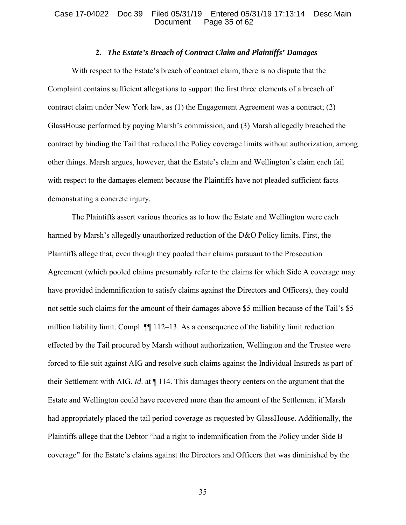## Case 17-04022 Doc 39 Filed 05/31/19 Entered 05/31/19 17:13:14 Desc Main Page  $35$  of  $62$

# **2.** *The Estate's Breach of Contract Claim and Plaintiffs' Damages*

With respect to the Estate's breach of contract claim, there is no dispute that the Complaint contains sufficient allegations to support the first three elements of a breach of contract claim under New York law, as (1) the Engagement Agreement was a contract; (2) GlassHouse performed by paying Marsh's commission; and (3) Marsh allegedly breached the contract by binding the Tail that reduced the Policy coverage limits without authorization, among other things. Marsh argues, however, that the Estate's claim and Wellington's claim each fail with respect to the damages element because the Plaintiffs have not pleaded sufficient facts demonstrating a concrete injury.

The Plaintiffs assert various theories as to how the Estate and Wellington were each harmed by Marsh's allegedly unauthorized reduction of the D&O Policy limits. First, the Plaintiffs allege that, even though they pooled their claims pursuant to the Prosecution Agreement (which pooled claims presumably refer to the claims for which Side A coverage may have provided indemnification to satisfy claims against the Directors and Officers), they could not settle such claims for the amount of their damages above \$5 million because of the Tail's \$5 million liability limit. Compl.  $\P$  112–13. As a consequence of the liability limit reduction effected by the Tail procured by Marsh without authorization, Wellington and the Trustee were forced to file suit against AIG and resolve such claims against the Individual Insureds as part of their Settlement with AIG. *Id*. at ¶ 114. This damages theory centers on the argument that the Estate and Wellington could have recovered more than the amount of the Settlement if Marsh had appropriately placed the tail period coverage as requested by GlassHouse. Additionally, the Plaintiffs allege that the Debtor "had a right to indemnification from the Policy under Side B coverage" for the Estate's claims against the Directors and Officers that was diminished by the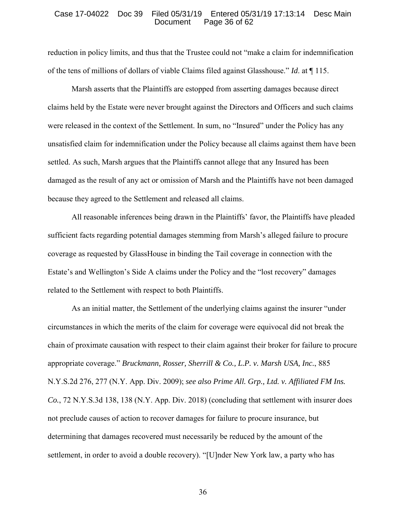### Case 17-04022 Doc 39 Filed 05/31/19 Entered 05/31/19 17:13:14 Desc Main Page 36 of 62

reduction in policy limits, and thus that the Trustee could not "make a claim for indemnification of the tens of millions of dollars of viable Claims filed against Glasshouse." *Id*. at ¶ 115.

Marsh asserts that the Plaintiffs are estopped from asserting damages because direct claims held by the Estate were never brought against the Directors and Officers and such claims were released in the context of the Settlement. In sum, no "Insured" under the Policy has any unsatisfied claim for indemnification under the Policy because all claims against them have been settled. As such, Marsh argues that the Plaintiffs cannot allege that any Insured has been damaged as the result of any act or omission of Marsh and the Plaintiffs have not been damaged because they agreed to the Settlement and released all claims.

All reasonable inferences being drawn in the Plaintiffs' favor, the Plaintiffs have pleaded sufficient facts regarding potential damages stemming from Marsh's alleged failure to procure coverage as requested by GlassHouse in binding the Tail coverage in connection with the Estate's and Wellington's Side A claims under the Policy and the "lost recovery" damages related to the Settlement with respect to both Plaintiffs.

As an initial matter, the Settlement of the underlying claims against the insurer "under circumstances in which the merits of the claim for coverage were equivocal did not break the chain of proximate causation with respect to their claim against their broker for failure to procure appropriate coverage." *Bruckmann, Rosser, Sherrill & Co., L.P. v. Marsh USA, Inc.*, 885 N.Y.S.2d 276, 277 (N.Y. App. Div. 2009); *see also Prime All. Grp., Ltd. v. Affiliated FM Ins. Co.*, 72 N.Y.S.3d 138, 138 (N.Y. App. Div. 2018) (concluding that settlement with insurer does not preclude causes of action to recover damages for failure to procure insurance, but determining that damages recovered must necessarily be reduced by the amount of the settlement, in order to avoid a double recovery). "[U]nder New York law, a party who has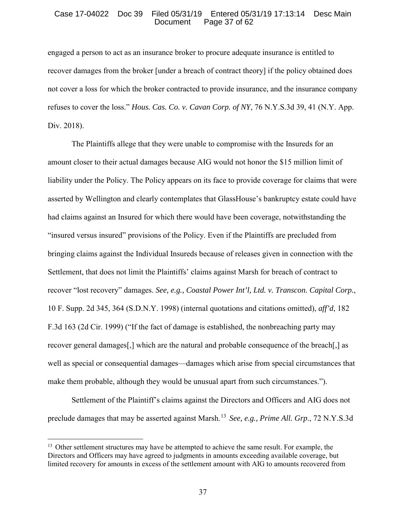## Case 17-04022 Doc 39 Filed 05/31/19 Entered 05/31/19 17:13:14 Desc Main Page 37 of  $62$

engaged a person to act as an insurance broker to procure adequate insurance is entitled to recover damages from the broker [under a breach of contract theory] if the policy obtained does not cover a loss for which the broker contracted to provide insurance, and the insurance company refuses to cover the loss." *Hous. Cas. Co. v. Cavan Corp. of NY*, 76 N.Y.S.3d 39, 41 (N.Y. App. Div. 2018).

The Plaintiffs allege that they were unable to compromise with the Insureds for an amount closer to their actual damages because AIG would not honor the \$15 million limit of liability under the Policy. The Policy appears on its face to provide coverage for claims that were asserted by Wellington and clearly contemplates that GlassHouse's bankruptcy estate could have had claims against an Insured for which there would have been coverage, notwithstanding the "insured versus insured" provisions of the Policy. Even if the Plaintiffs are precluded from bringing claims against the Individual Insureds because of releases given in connection with the Settlement, that does not limit the Plaintiffs' claims against Marsh for breach of contract to recover "lost recovery" damages. *See, e.g., Coastal Power Int'l, Ltd. v. Transcon. Capital Corp.*, 10 F. Supp. 2d 345, 364 (S.D.N.Y. 1998) (internal quotations and citations omitted), *aff'd*, 182 F.3d 163 (2d Cir. 1999) ("If the fact of damage is established, the nonbreaching party may recover general damages[,] which are the natural and probable consequence of the breach[,] as well as special or consequential damages—damages which arise from special circumstances that make them probable, although they would be unusual apart from such circumstances.").

Settlement of the Plaintiff's claims against the Directors and Officers and AIG does not preclude damages that may be asserted against Marsh.<sup>13</sup> *See, e.g., Prime All. Grp*., 72 N.Y.S.3d

 $\overline{a}$ 

<sup>&</sup>lt;sup>13</sup> Other settlement structures may have be attempted to achieve the same result. For example, the Directors and Officers may have agreed to judgments in amounts exceeding available coverage, but limited recovery for amounts in excess of the settlement amount with AIG to amounts recovered from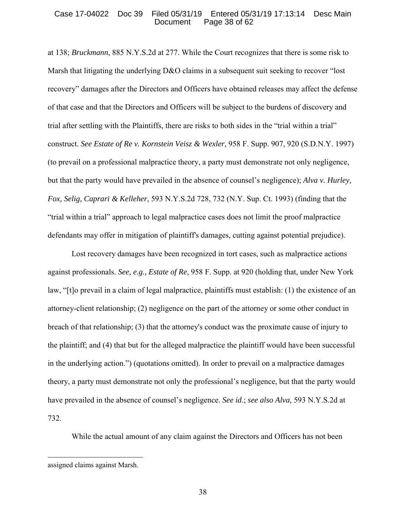## Case 17-04022 Doc 39 Filed 05/31/19 Entered 05/31/19 17:13:14 Desc Main Page 38 of 62

at 138; *Bruckmann*, 885 N.Y.S.2d at 277. While the Court recognizes that there is some risk to Marsh that litigating the underlying D&O claims in a subsequent suit seeking to recover "lost" recovery" damages after the Directors and Officers have obtained releases may affect the defense of that case and that the Directors and Officers will be subject to the burdens of discovery and trial after settling with the Plaintiffs, there are risks to both sides in the "trial within a trial" construct. *See Estate of Re v. Kornstein Veisz & Wexler*, 958 F. Supp. 907, 920 (S.D.N.Y. 1997) (to prevail on a professional malpractice theory, a party must demonstrate not only negligence, but that the party would have prevailed in the absence of counsel's negligence); *Alva v. Hurley, Fox, Selig, Caprari & Kelleher*, 593 N.Y.S.2d 728, 732 (N.Y. Sup. Ct. 1993) (finding that the "trial within a trial" approach to legal malpractice cases does not limit the proof malpractice defendants may offer in mitigation of plaintiff's damages, cutting against potential prejudice).

Lost recovery damages have been recognized in tort cases, such as malpractice actions against professionals. *See, e.g., Estate of Re*, 958 F. Supp. at 920 (holding that, under New York law, "[t]o prevail in a claim of legal malpractice, plaintiffs must establish: (1) the existence of an attorney-client relationship; (2) negligence on the part of the attorney or some other conduct in breach of that relationship; (3) that the attorney's conduct was the proximate cause of injury to the plaintiff; and (4) that but for the alleged malpractice the plaintiff would have been successful in the underlying action.") (quotations omitted). In order to prevail on a malpractice damages theory, a party must demonstrate not only the professional's negligence, but that the party would have prevailed in the absence of counsel's negligence. *See id*.; *see also Alva,* 593 N.Y.S.2d at 732.

While the actual amount of any claim against the Directors and Officers has not been

assigned claims against Marsh.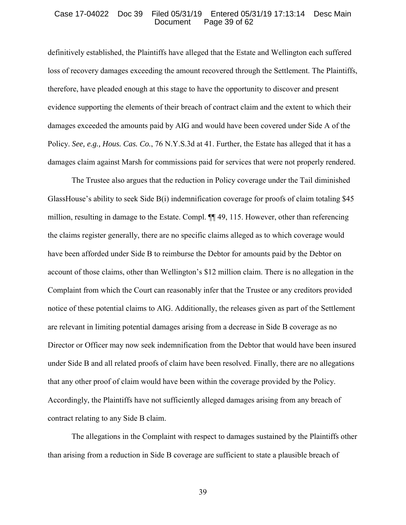## Case 17-04022 Doc 39 Filed 05/31/19 Entered 05/31/19 17:13:14 Desc Main Page 39 of 62

definitively established, the Plaintiffs have alleged that the Estate and Wellington each suffered loss of recovery damages exceeding the amount recovered through the Settlement. The Plaintiffs, therefore, have pleaded enough at this stage to have the opportunity to discover and present evidence supporting the elements of their breach of contract claim and the extent to which their damages exceeded the amounts paid by AIG and would have been covered under Side A of the Policy. *See, e.g., Hous. Cas. Co.*, 76 N.Y.S.3d at 41. Further, the Estate has alleged that it has a damages claim against Marsh for commissions paid for services that were not properly rendered.

The Trustee also argues that the reduction in Policy coverage under the Tail diminished GlassHouse's ability to seek Side B(i) indemnification coverage for proofs of claim totaling \$45 million, resulting in damage to the Estate. Compl. ¶¶ 49, 115. However, other than referencing the claims register generally, there are no specific claims alleged as to which coverage would have been afforded under Side B to reimburse the Debtor for amounts paid by the Debtor on account of those claims, other than Wellington's \$12 million claim. There is no allegation in the Complaint from which the Court can reasonably infer that the Trustee or any creditors provided notice of these potential claims to AIG. Additionally, the releases given as part of the Settlement are relevant in limiting potential damages arising from a decrease in Side B coverage as no Director or Officer may now seek indemnification from the Debtor that would have been insured under Side B and all related proofs of claim have been resolved. Finally, there are no allegations that any other proof of claim would have been within the coverage provided by the Policy. Accordingly, the Plaintiffs have not sufficiently alleged damages arising from any breach of contract relating to any Side B claim.

The allegations in the Complaint with respect to damages sustained by the Plaintiffs other than arising from a reduction in Side B coverage are sufficient to state a plausible breach of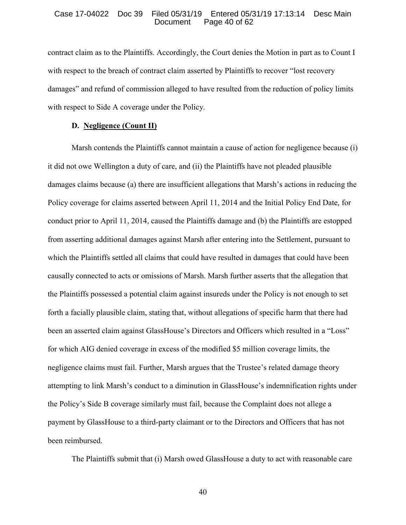#### Case 17-04022 Doc 39 Filed 05/31/19 Entered 05/31/19 17:13:14 Desc Main Page 40 of 62

contract claim as to the Plaintiffs. Accordingly, the Court denies the Motion in part as to Count I with respect to the breach of contract claim asserted by Plaintiffs to recover "lost recovery damages" and refund of commission alleged to have resulted from the reduction of policy limits with respect to Side A coverage under the Policy.

# **D. Negligence (Count II)**

Marsh contends the Plaintiffs cannot maintain a cause of action for negligence because (i) it did not owe Wellington a duty of care, and (ii) the Plaintiffs have not pleaded plausible damages claims because (a) there are insufficient allegations that Marsh's actions in reducing the Policy coverage for claims asserted between April 11, 2014 and the Initial Policy End Date, for conduct prior to April 11, 2014, caused the Plaintiffs damage and (b) the Plaintiffs are estopped from asserting additional damages against Marsh after entering into the Settlement, pursuant to which the Plaintiffs settled all claims that could have resulted in damages that could have been causally connected to acts or omissions of Marsh. Marsh further asserts that the allegation that the Plaintiffs possessed a potential claim against insureds under the Policy is not enough to set forth a facially plausible claim, stating that, without allegations of specific harm that there had been an asserted claim against GlassHouse's Directors and Officers which resulted in a "Loss" for which AIG denied coverage in excess of the modified \$5 million coverage limits, the negligence claims must fail. Further, Marsh argues that the Trustee's related damage theory attempting to link Marsh's conduct to a diminution in GlassHouse's indemnification rights under the Policy's Side B coverage similarly must fail, because the Complaint does not allege a payment by GlassHouse to a third-party claimant or to the Directors and Officers that has not been reimbursed.

The Plaintiffs submit that (i) Marsh owed GlassHouse a duty to act with reasonable care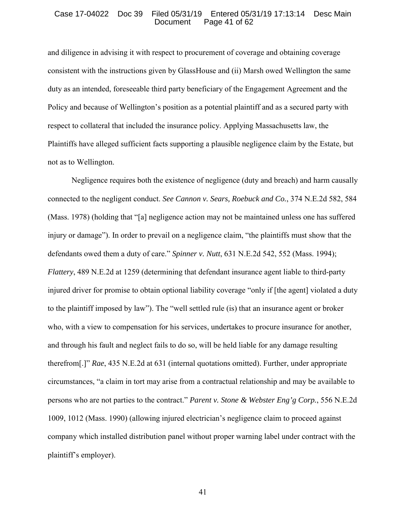## Case 17-04022 Doc 39 Filed 05/31/19 Entered 05/31/19 17:13:14 Desc Main Page  $41$  of  $62$

and diligence in advising it with respect to procurement of coverage and obtaining coverage consistent with the instructions given by GlassHouse and (ii) Marsh owed Wellington the same duty as an intended, foreseeable third party beneficiary of the Engagement Agreement and the Policy and because of Wellington's position as a potential plaintiff and as a secured party with respect to collateral that included the insurance policy. Applying Massachusetts law, the Plaintiffs have alleged sufficient facts supporting a plausible negligence claim by the Estate, but not as to Wellington.

Negligence requires both the existence of negligence (duty and breach) and harm causally connected to the negligent conduct. *See Cannon v. Sears, Roebuck and Co.*, 374 N.E.2d 582, 584 (Mass. 1978) (holding that "[a] negligence action may not be maintained unless one has suffered injury or damage"). In order to prevail on a negligence claim, "the plaintiffs must show that the defendants owed them a duty of care." *Spinner v. Nutt*, 631 N.E.2d 542, 552 (Mass. 1994); *Flattery*, 489 N.E.2d at 1259 (determining that defendant insurance agent liable to third-party injured driver for promise to obtain optional liability coverage "only if [the agent] violated a duty to the plaintiff imposed by law"). The "well settled rule (is) that an insurance agent or broker who, with a view to compensation for his services, undertakes to procure insurance for another, and through his fault and neglect fails to do so, will be held liable for any damage resulting therefrom[.]" *Rae*, 435 N.E.2d at 631 (internal quotations omitted). Further, under appropriate circumstances, "a claim in tort may arise from a contractual relationship and may be available to persons who are not parties to the contract." *Parent v. Stone & Webster Eng'g Corp.*, 556 N.E.2d 1009, 1012 (Mass. 1990) (allowing injured electrician's negligence claim to proceed against company which installed distribution panel without proper warning label under contract with the plaintiff's employer).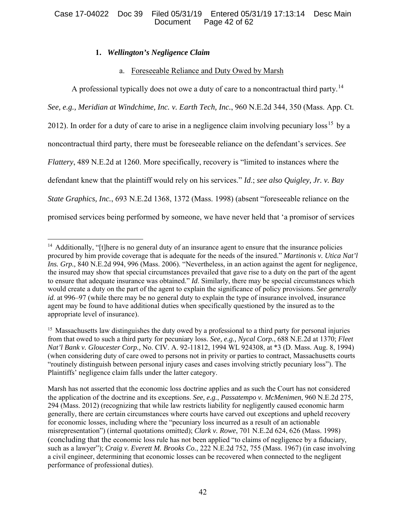# Case 17-04022 Doc 39 Filed 05/31/19 Entered 05/31/19 17:13:14 Desc Main Page 42 of  $62$

# **1.** *Wellington's Negligence Claim*

# a. Foreseeable Reliance and Duty Owed by Marsh

A professional typically does not owe a duty of care to a noncontractual third party.<sup>14</sup>

*See, e.g., Meridian at Windchime, Inc. v. Earth Tech, Inc.*, 960 N.E.2d 344, 350 (Mass. App. Ct. 2012). In order for a duty of care to arise in a negligence claim involving pecuniary loss<sup>15</sup> by a noncontractual third party, there must be foreseeable reliance on the defendant's services. *See Flattery*, 489 N.E.2d at 1260. More specifically, recovery is "limited to instances where the defendant knew that the plaintiff would rely on his services." *Id*.; *see also Quigley, Jr. v. Bay State Graphics, Inc.*, 693 N.E.2d 1368, 1372 (Mass. 1998) (absent "foreseeable reliance on the promised services being performed by someone, we have never held that 'a promisor of services

 $\overline{a}$ <sup>14</sup> Additionally, "[t]here is no general duty of an insurance agent to ensure that the insurance policies procured by him provide coverage that is adequate for the needs of the insured." *Martinonis v. Utica Nat'l Ins. Grp.,* 840 N.E.2d 994, 996 (Mass. 2006). "Nevertheless, in an action against the agent for negligence, the insured may show that special circumstances prevailed that gave rise to a duty on the part of the agent to ensure that adequate insurance was obtained." *Id*. Similarly, there may be special circumstances which would create a duty on the part of the agent to explain the significance of policy provisions. *See generally id*. at 996–97 (while there may be no general duty to explain the type of insurance involved, insurance agent may be found to have additional duties when specifically questioned by the insured as to the appropriate level of insurance).

<sup>&</sup>lt;sup>15</sup> Massachusetts law distinguishes the duty owed by a professional to a third party for personal injuries from that owed to such a third party for pecuniary loss. *See, e.g., Nycal Corp.*, 688 N.E.2d at 1370; *Fleet Nat'l Bank v. Gloucester Corp.,* No. CIV. A. 92-11812, 1994 WL 924308, at \*3 (D. Mass. Aug. 8, 1994) (when considering duty of care owed to persons not in privity or parties to contract, Massachusetts courts "routinely distinguish between personal injury cases and cases involving strictly pecuniary loss"). The Plaintiffs' negligence claim falls under the latter category.

Marsh has not asserted that the economic loss doctrine applies and as such the Court has not considered the application of the doctrine and its exceptions. *See, e.g.*, *Passatempo v. McMenimen*, 960 N.E.2d 275, 294 (Mass. 2012) (recognizing that while law restricts liability for negligently caused economic harm generally, there are certain circumstances where courts have carved out exceptions and upheld recovery for economic losses, including where the "pecuniary loss incurred as a result of an actionable misrepresentation") (internal quotations omitted); *Clark v. Rowe*, 701 N.E.2d 624, 626 (Mass. 1998) (concluding that the economic loss rule has not been applied "to claims of negligence by a fiduciary, such as a lawyer"); *Craig v. Everett M. Brooks Co.*, 222 N.E.2d 752, 755 (Mass. 1967) (in case involving a civil engineer, determining that economic losses can be recovered when connected to the negligent performance of professional duties).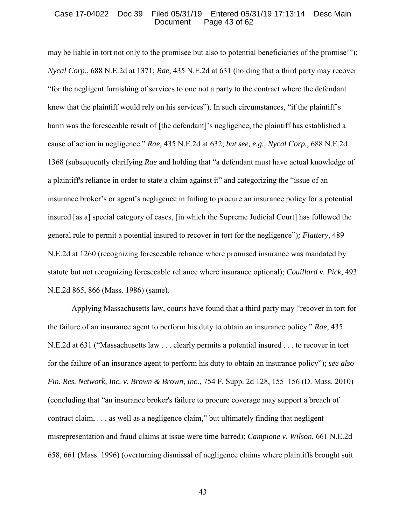## Case 17-04022 Doc 39 Filed 05/31/19 Entered 05/31/19 17:13:14 Desc Main Page  $43$  of  $62$

may be liable in tort not only to the promisee but also to potential beneficiaries of the promise'"); *Nycal Corp.*, 688 N.E.2d at 1371; *Rae*, 435 N.E.2d at 631 (holding that a third party may recover "for the negligent furnishing of services to one not a party to the contract where the defendant knew that the plaintiff would rely on his services"). In such circumstances, "if the plaintiff's harm was the foreseeable result of [the defendant]'s negligence, the plaintiff has established a cause of action in negligence." *Rae*, 435 N.E.2d at 632; *but see, e.g., Nycal Corp.*, 688 N.E.2d 1368 (subsequently clarifying *Rae* and holding that "a defendant must have actual knowledge of a plaintiff's reliance in order to state a claim against it" and categorizing the "issue of an insurance broker's or agent's negligence in failing to procure an insurance policy for a potential insured [as a] special category of cases. [in which the Supreme Judicial Court] has followed the general rule to permit a potential insured to recover in tort for the negligence")*; Flattery*, 489 N.E.2d at 1260 (recognizing foreseeable reliance where promised insurance was mandated by statute but not recognizing foreseeable reliance where insurance optional); *Couillard v. Pick*, 493 N.E.2d 865, 866 (Mass. 1986) (same).

Applying Massachusetts law, courts have found that a third party may "recover in tort for the failure of an insurance agent to perform his duty to obtain an insurance policy." *Rae*, 435 N.E.2d at 631 ("Massachusetts law . . . clearly permits a potential insured . . . to recover in tort for the failure of an insurance agent to perform his duty to obtain an insurance policy"); *see also Fin. Res. Network, Inc. v. Brown & Brown, Inc.*, 754 F. Supp. 2d 128, 155–156 (D. Mass. 2010) (concluding that "an insurance broker's failure to procure coverage may support a breach of contract claim, . . . as well as a negligence claim," but ultimately finding that negligent misrepresentation and fraud claims at issue were time barred); *Campione v. Wilson*, 661 N.E.2d 658, 661 (Mass. 1996) (overturning dismissal of negligence claims where plaintiffs brought suit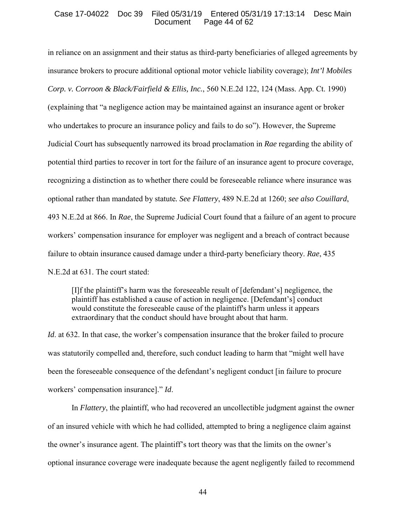## Case 17-04022 Doc 39 Filed 05/31/19 Entered 05/31/19 17:13:14 Desc Main Page 44 of 62

in reliance on an assignment and their status as third-party beneficiaries of alleged agreements by insurance brokers to procure additional optional motor vehicle liability coverage); *Int'l Mobiles Corp. v. Corroon & Black/Fairfield & Ellis, Inc.*, 560 N.E.2d 122, 124 (Mass. App. Ct. 1990) (explaining that "a negligence action may be maintained against an insurance agent or broker who undertakes to procure an insurance policy and fails to do so"). However, the Supreme Judicial Court has subsequently narrowed its broad proclamation in *Rae* regarding the ability of potential third parties to recover in tort for the failure of an insurance agent to procure coverage, recognizing a distinction as to whether there could be foreseeable reliance where insurance was optional rather than mandated by statute*. See Flattery*, 489 N.E.2d at 1260; *see also Couillard*, 493 N.E.2d at 866. In *Rae*, the Supreme Judicial Court found that a failure of an agent to procure workers' compensation insurance for employer was negligent and a breach of contract because failure to obtain insurance caused damage under a third-party beneficiary theory. *Rae*, 435 N.E.2d at 631. The court stated:

[I]f the plaintiff's harm was the foreseeable result of [defendant's] negligence, the plaintiff has established a cause of action in negligence. [Defendant's] conduct would constitute the foreseeable cause of the plaintiff's harm unless it appears extraordinary that the conduct should have brought about that harm.

*Id.* at 632. In that case, the worker's compensation insurance that the broker failed to procure was statutorily compelled and, therefore, such conduct leading to harm that "might well have been the foreseeable consequence of the defendant's negligent conduct [in failure to procure workers' compensation insurance]." *Id*.

In *Flattery*, the plaintiff, who had recovered an uncollectible judgment against the owner of an insured vehicle with which he had collided, attempted to bring a negligence claim against the owner's insurance agent. The plaintiff's tort theory was that the limits on the owner's optional insurance coverage were inadequate because the agent negligently failed to recommend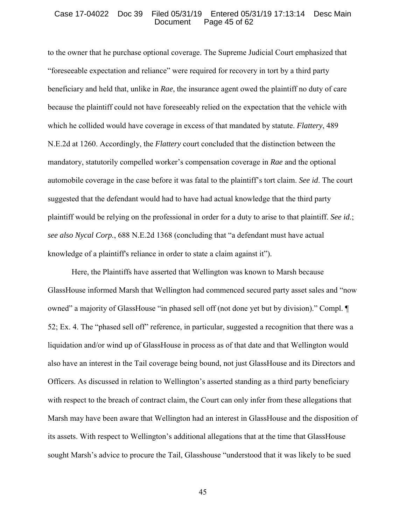## Case 17-04022 Doc 39 Filed 05/31/19 Entered 05/31/19 17:13:14 Desc Main Page  $45$  of 62

to the owner that he purchase optional coverage. The Supreme Judicial Court emphasized that "foreseeable expectation and reliance" were required for recovery in tort by a third party beneficiary and held that, unlike in *Rae*, the insurance agent owed the plaintiff no duty of care because the plaintiff could not have foreseeably relied on the expectation that the vehicle with which he collided would have coverage in excess of that mandated by statute. *Flattery*, 489 N.E.2d at 1260. Accordingly, the *Flattery* court concluded that the distinction between the mandatory, statutorily compelled worker's compensation coverage in *Rae* and the optional automobile coverage in the case before it was fatal to the plaintiff's tort claim. *See id*. The court suggested that the defendant would had to have had actual knowledge that the third party plaintiff would be relying on the professional in order for a duty to arise to that plaintiff. *See id.*; *see also Nycal Corp.*, 688 N.E.2d 1368 (concluding that "a defendant must have actual knowledge of a plaintiff's reliance in order to state a claim against it").

Here, the Plaintiffs have asserted that Wellington was known to Marsh because GlassHouse informed Marsh that Wellington had commenced secured party asset sales and "now owned" a majority of GlassHouse "in phased sell off (not done yet but by division)." Compl. ¶ 52; Ex. 4. The "phased sell off" reference, in particular, suggested a recognition that there was a liquidation and/or wind up of GlassHouse in process as of that date and that Wellington would also have an interest in the Tail coverage being bound, not just GlassHouse and its Directors and Officers. As discussed in relation to Wellington's asserted standing as a third party beneficiary with respect to the breach of contract claim, the Court can only infer from these allegations that Marsh may have been aware that Wellington had an interest in GlassHouse and the disposition of its assets. With respect to Wellington's additional allegations that at the time that GlassHouse sought Marsh's advice to procure the Tail, Glasshouse "understood that it was likely to be sued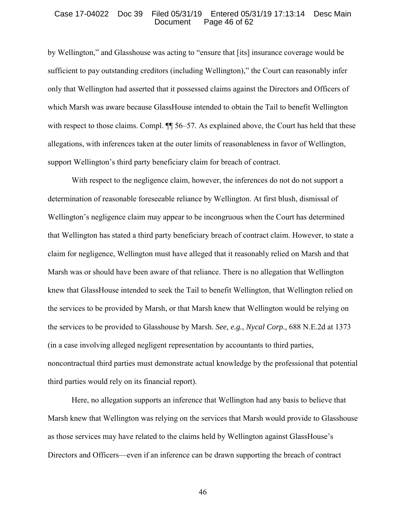### Case 17-04022 Doc 39 Filed 05/31/19 Entered 05/31/19 17:13:14 Desc Main Page  $46$  of  $62$

by Wellington," and Glasshouse was acting to "ensure that [its] insurance coverage would be sufficient to pay outstanding creditors (including Wellington)," the Court can reasonably infer only that Wellington had asserted that it possessed claims against the Directors and Officers of which Marsh was aware because GlassHouse intended to obtain the Tail to benefit Wellington with respect to those claims. Compl.  $\P$  56–57. As explained above, the Court has held that these allegations, with inferences taken at the outer limits of reasonableness in favor of Wellington, support Wellington's third party beneficiary claim for breach of contract.

With respect to the negligence claim, however, the inferences do not do not support a determination of reasonable foreseeable reliance by Wellington. At first blush, dismissal of Wellington's negligence claim may appear to be incongruous when the Court has determined that Wellington has stated a third party beneficiary breach of contract claim. However, to state a claim for negligence, Wellington must have alleged that it reasonably relied on Marsh and that Marsh was or should have been aware of that reliance. There is no allegation that Wellington knew that GlassHouse intended to seek the Tail to benefit Wellington, that Wellington relied on the services to be provided by Marsh, or that Marsh knew that Wellington would be relying on the services to be provided to Glasshouse by Marsh. *See, e.g., Nycal Corp.*, 688 N.E.2d at 1373 (in a case involving alleged negligent representation by accountants to third parties, noncontractual third parties must demonstrate actual knowledge by the professional that potential third parties would rely on its financial report).

Here, no allegation supports an inference that Wellington had any basis to believe that Marsh knew that Wellington was relying on the services that Marsh would provide to Glasshouse as those services may have related to the claims held by Wellington against GlassHouse's Directors and Officers—even if an inference can be drawn supporting the breach of contract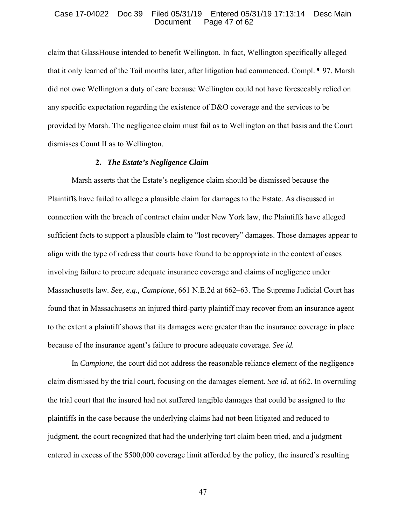## Case 17-04022 Doc 39 Filed 05/31/19 Entered 05/31/19 17:13:14 Desc Main Page 47 of 62

claim that GlassHouse intended to benefit Wellington. In fact, Wellington specifically alleged that it only learned of the Tail months later, after litigation had commenced. Compl. ¶ 97. Marsh did not owe Wellington a duty of care because Wellington could not have foreseeably relied on any specific expectation regarding the existence of D&O coverage and the services to be provided by Marsh. The negligence claim must fail as to Wellington on that basis and the Court dismisses Count II as to Wellington.

## **2.** *The Estate's Negligence Claim*

Marsh asserts that the Estate's negligence claim should be dismissed because the Plaintiffs have failed to allege a plausible claim for damages to the Estate. As discussed in connection with the breach of contract claim under New York law, the Plaintiffs have alleged sufficient facts to support a plausible claim to "lost recovery" damages. Those damages appear to align with the type of redress that courts have found to be appropriate in the context of cases involving failure to procure adequate insurance coverage and claims of negligence under Massachusetts law. *See, e.g., Campione*, 661 N.E.2d at 662–63. The Supreme Judicial Court has found that in Massachusetts an injured third-party plaintiff may recover from an insurance agent to the extent a plaintiff shows that its damages were greater than the insurance coverage in place because of the insurance agent's failure to procure adequate coverage. *See id.*

In *Campione*, the court did not address the reasonable reliance element of the negligence claim dismissed by the trial court, focusing on the damages element. *See id*. at 662. In overruling the trial court that the insured had not suffered tangible damages that could be assigned to the plaintiffs in the case because the underlying claims had not been litigated and reduced to judgment, the court recognized that had the underlying tort claim been tried, and a judgment entered in excess of the \$500,000 coverage limit afforded by the policy, the insured's resulting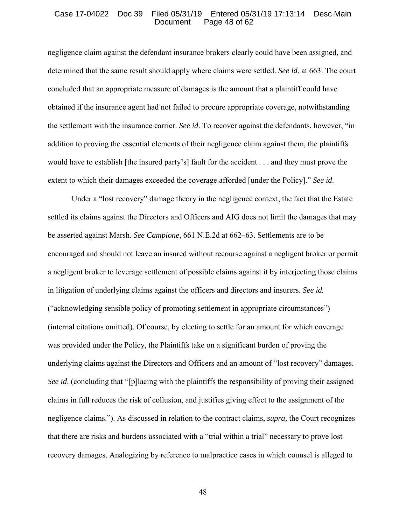#### Case 17-04022 Doc 39 Filed 05/31/19 Entered 05/31/19 17:13:14 Desc Main Page 48 of 62

negligence claim against the defendant insurance brokers clearly could have been assigned, and determined that the same result should apply where claims were settled. *See id*. at 663. The court concluded that an appropriate measure of damages is the amount that a plaintiff could have obtained if the insurance agent had not failed to procure appropriate coverage, notwithstanding the settlement with the insurance carrier. *See id*. To recover against the defendants, however, "in addition to proving the essential elements of their negligence claim against them, the plaintiffs would have to establish [the insured party's] fault for the accident . . . and they must prove the extent to which their damages exceeded the coverage afforded [under the Policy]." *See id*.

Under a "lost recovery" damage theory in the negligence context, the fact that the Estate settled its claims against the Directors and Officers and AIG does not limit the damages that may be asserted against Marsh. *See Campione*, 661 N.E.2d at 662–63. Settlements are to be encouraged and should not leave an insured without recourse against a negligent broker or permit a negligent broker to leverage settlement of possible claims against it by interjecting those claims in litigation of underlying claims against the officers and directors and insurers. *See id.* ("acknowledging sensible policy of promoting settlement in appropriate circumstances") (internal citations omitted). Of course, by electing to settle for an amount for which coverage was provided under the Policy, the Plaintiffs take on a significant burden of proving the underlying claims against the Directors and Officers and an amount of "lost recovery" damages. *See id.* (concluding that "[p]lacing with the plaintiffs the responsibility of proving their assigned claims in full reduces the risk of collusion, and justifies giving effect to the assignment of the negligence claims."). As discussed in relation to the contract claims, *supra,* the Court recognizes that there are risks and burdens associated with a "trial within a trial" necessary to prove lost recovery damages. Analogizing by reference to malpractice cases in which counsel is alleged to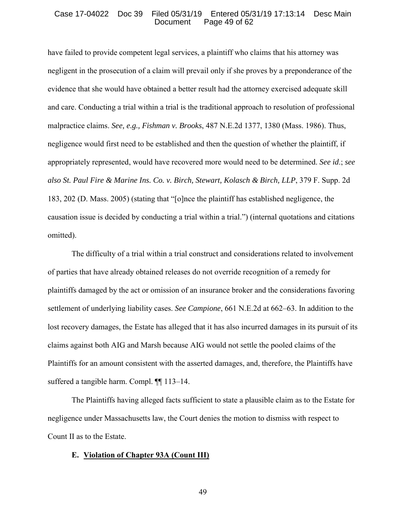## Case 17-04022 Doc 39 Filed 05/31/19 Entered 05/31/19 17:13:14 Desc Main Page 49 of 62

have failed to provide competent legal services, a plaintiff who claims that his attorney was negligent in the prosecution of a claim will prevail only if she proves by a preponderance of the evidence that she would have obtained a better result had the attorney exercised adequate skill and care. Conducting a trial within a trial is the traditional approach to resolution of professional malpractice claims. *See, e.g., Fishman v. Brooks*, 487 N.E.2d 1377, 1380 (Mass. 1986). Thus, negligence would first need to be established and then the question of whether the plaintiff, if appropriately represented, would have recovered more would need to be determined. *See id*.; *see also St. Paul Fire & Marine Ins. Co. v. Birch, Stewart, Kolasch & Birch, LLP*, 379 F. Supp. 2d 183, 202 (D. Mass. 2005) (stating that "[o]nce the plaintiff has established negligence, the causation issue is decided by conducting a trial within a trial.") (internal quotations and citations omitted).

The difficulty of a trial within a trial construct and considerations related to involvement of parties that have already obtained releases do not override recognition of a remedy for plaintiffs damaged by the act or omission of an insurance broker and the considerations favoring settlement of underlying liability cases. *See Campione*, 661 N.E.2d at 662–63. In addition to the lost recovery damages, the Estate has alleged that it has also incurred damages in its pursuit of its claims against both AIG and Marsh because AIG would not settle the pooled claims of the Plaintiffs for an amount consistent with the asserted damages, and, therefore, the Plaintiffs have suffered a tangible harm. Compl. ¶¶ 113–14.

The Plaintiffs having alleged facts sufficient to state a plausible claim as to the Estate for negligence under Massachusetts law, the Court denies the motion to dismiss with respect to Count II as to the Estate.

## **E. Violation of Chapter 93A (Count III)**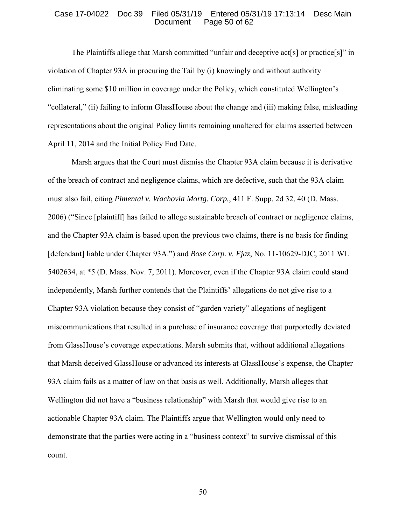## Case 17-04022 Doc 39 Filed 05/31/19 Entered 05/31/19 17:13:14 Desc Main Page 50 of 62

The Plaintiffs allege that Marsh committed "unfair and deceptive act[s] or practice[s]" in violation of Chapter 93A in procuring the Tail by (i) knowingly and without authority eliminating some \$10 million in coverage under the Policy, which constituted Wellington's "collateral," (ii) failing to inform GlassHouse about the change and (iii) making false, misleading representations about the original Policy limits remaining unaltered for claims asserted between April 11, 2014 and the Initial Policy End Date.

Marsh argues that the Court must dismiss the Chapter 93A claim because it is derivative of the breach of contract and negligence claims, which are defective, such that the 93A claim must also fail, citing *Pimental v. Wachovia Mortg. Corp.*, 411 F. Supp. 2d 32, 40 (D. Mass. 2006) ("Since [plaintiff] has failed to allege sustainable breach of contract or negligence claims, and the Chapter 93A claim is based upon the previous two claims, there is no basis for finding [defendant] liable under Chapter 93A.") and *Bose Corp. v. Ejaz*, No. 11-10629-DJC, 2011 WL 5402634, at \*5 (D. Mass. Nov. 7, 2011). Moreover, even if the Chapter 93A claim could stand independently, Marsh further contends that the Plaintiffs' allegations do not give rise to a Chapter 93A violation because they consist of "garden variety" allegations of negligent miscommunications that resulted in a purchase of insurance coverage that purportedly deviated from GlassHouse's coverage expectations. Marsh submits that, without additional allegations that Marsh deceived GlassHouse or advanced its interests at GlassHouse's expense, the Chapter 93A claim fails as a matter of law on that basis as well. Additionally, Marsh alleges that Wellington did not have a "business relationship" with Marsh that would give rise to an actionable Chapter 93A claim. The Plaintiffs argue that Wellington would only need to demonstrate that the parties were acting in a "business context" to survive dismissal of this count.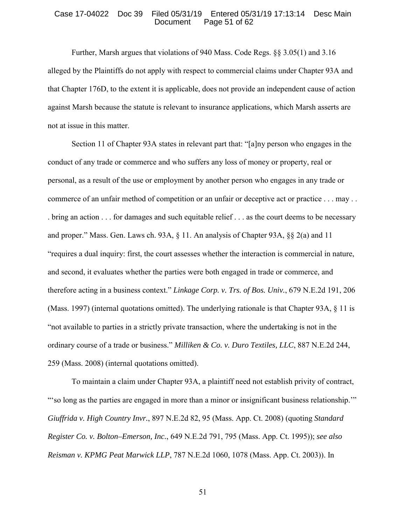## Case 17-04022 Doc 39 Filed 05/31/19 Entered 05/31/19 17:13:14 Desc Main Page  $51$  of  $62$

Further, Marsh argues that violations of 940 Mass. Code Regs. §§ 3.05(1) and 3.16 alleged by the Plaintiffs do not apply with respect to commercial claims under Chapter 93A and that Chapter 176D, to the extent it is applicable, does not provide an independent cause of action against Marsh because the statute is relevant to insurance applications, which Marsh asserts are not at issue in this matter.

Section 11 of Chapter 93A states in relevant part that: "[a]ny person who engages in the conduct of any trade or commerce and who suffers any loss of money or property, real or personal, as a result of the use or employment by another person who engages in any trade or commerce of an unfair method of competition or an unfair or deceptive act or practice . . . may . . . bring an action . . . for damages and such equitable relief . . . as the court deems to be necessary and proper." Mass. Gen. Laws ch. 93A, § 11. An analysis of Chapter 93A, §§ 2(a) and 11 "requires a dual inquiry: first, the court assesses whether the interaction is commercial in nature, and second, it evaluates whether the parties were both engaged in trade or commerce, and therefore acting in a business context." *Linkage Corp. v. Trs. of Bos. Univ.*, 679 N.E.2d 191, 206 (Mass. 1997) (internal quotations omitted). The underlying rationale is that Chapter 93A, § 11 is "not available to parties in a strictly private transaction, where the undertaking is not in the ordinary course of a trade or business." *Milliken & Co. v. Duro Textiles, LLC*, 887 N.E.2d 244, 259 (Mass. 2008) (internal quotations omitted).

To maintain a claim under Chapter 93A, a plaintiff need not establish privity of contract, "'so long as the parties are engaged in more than a minor or insignificant business relationship.'" *Giuffrida v. High Country Invr.*, 897 N.E.2d 82, 95 (Mass. App. Ct. 2008) (quoting *Standard Register Co. v. Bolton–Emerson, Inc.*, 649 N.E.2d 791, 795 (Mass. App. Ct. 1995)); *see also Reisman v. KPMG Peat Marwick LLP*, 787 N.E.2d 1060, 1078 (Mass. App. Ct. 2003)). In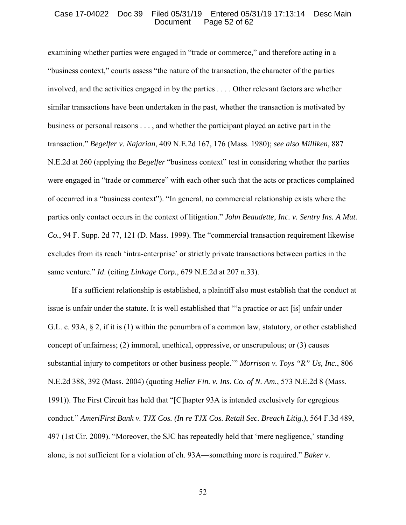## Case 17-04022 Doc 39 Filed 05/31/19 Entered 05/31/19 17:13:14 Desc Main Page  $52$  of  $62$

examining whether parties were engaged in "trade or commerce," and therefore acting in a "business context," courts assess "the nature of the transaction, the character of the parties involved, and the activities engaged in by the parties . . . . Other relevant factors are whether similar transactions have been undertaken in the past, whether the transaction is motivated by business or personal reasons . . . , and whether the participant played an active part in the transaction." *Begelfer v. Najarian*, 409 N.E.2d 167, 176 (Mass. 1980); *see also Milliken*, 887 N.E.2d at 260 (applying the *Begelfer* "business context" test in considering whether the parties were engaged in "trade or commerce" with each other such that the acts or practices complained of occurred in a "business context"). "In general, no commercial relationship exists where the parties only contact occurs in the context of litigation." *John Beaudette, Inc. v. Sentry Ins. A Mut. Co.*, 94 F. Supp. 2d 77, 121 (D. Mass. 1999). The "commercial transaction requirement likewise excludes from its reach 'intra-enterprise' or strictly private transactions between parties in the same venture." *Id*. (citing *Linkage Corp.*, 679 N.E.2d at 207 n.33).

If a sufficient relationship is established, a plaintiff also must establish that the conduct at issue is unfair under the statute. It is well established that "'a practice or act [is] unfair under G.L. c. 93A, § 2, if it is (1) within the penumbra of a common law, statutory, or other established concept of unfairness; (2) immoral, unethical, oppressive, or unscrupulous; or (3) causes substantial injury to competitors or other business people.'" *Morrison v. Toys "R" Us, Inc.*, 806 N.E.2d 388, 392 (Mass. 2004) (quoting *Heller Fin. v. Ins. Co. of N. Am.*, 573 N.E.2d 8 (Mass. 1991)). The First Circuit has held that "[C]hapter 93A is intended exclusively for egregious conduct." *AmeriFirst Bank v. TJX Cos. (In re TJX Cos. Retail Sec. Breach Litig.)*, 564 F.3d 489, 497 (1st Cir. 2009). "Moreover, the SJC has repeatedly held that 'mere negligence,' standing alone, is not sufficient for a violation of ch. 93A—something more is required." *Baker v.*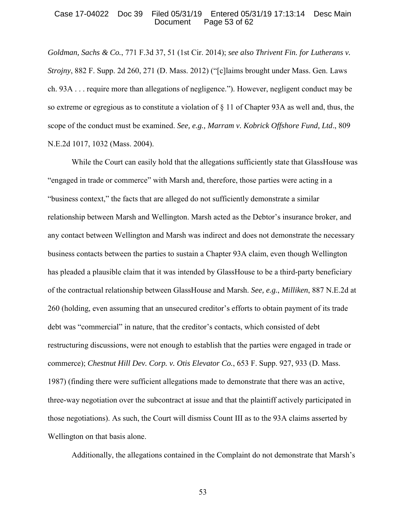## Case 17-04022 Doc 39 Filed 05/31/19 Entered 05/31/19 17:13:14 Desc Main Page  $53$  of  $62$

*Goldman, Sachs & Co.*, 771 F.3d 37, 51 (1st Cir. 2014); *see also Thrivent Fin. for Lutherans v. Strojny*, 882 F. Supp. 2d 260, 271 (D. Mass. 2012) ("[c]laims brought under Mass. Gen. Laws ch. 93A . . . require more than allegations of negligence."). However, negligent conduct may be so extreme or egregious as to constitute a violation of § 11 of Chapter 93A as well and, thus, the scope of the conduct must be examined. *See, e.g., Marram v. Kobrick Offshore Fund, Ltd*., 809 N.E.2d 1017, 1032 (Mass. 2004).

While the Court can easily hold that the allegations sufficiently state that GlassHouse was "engaged in trade or commerce" with Marsh and, therefore, those parties were acting in a "business context," the facts that are alleged do not sufficiently demonstrate a similar relationship between Marsh and Wellington. Marsh acted as the Debtor's insurance broker, and any contact between Wellington and Marsh was indirect and does not demonstrate the necessary business contacts between the parties to sustain a Chapter 93A claim, even though Wellington has pleaded a plausible claim that it was intended by GlassHouse to be a third-party beneficiary of the contractual relationship between GlassHouse and Marsh. *See, e.g.*, *Milliken*, 887 N.E.2d at 260 (holding, even assuming that an unsecured creditor's efforts to obtain payment of its trade debt was "commercial" in nature, that the creditor's contacts, which consisted of debt restructuring discussions, were not enough to establish that the parties were engaged in trade or commerce); *Chestnut Hill Dev. Corp. v. Otis Elevator Co.*, 653 F. Supp. 927, 933 (D. Mass. 1987) (finding there were sufficient allegations made to demonstrate that there was an active, three-way negotiation over the subcontract at issue and that the plaintiff actively participated in those negotiations). As such, the Court will dismiss Count III as to the 93A claims asserted by Wellington on that basis alone.

Additionally, the allegations contained in the Complaint do not demonstrate that Marsh's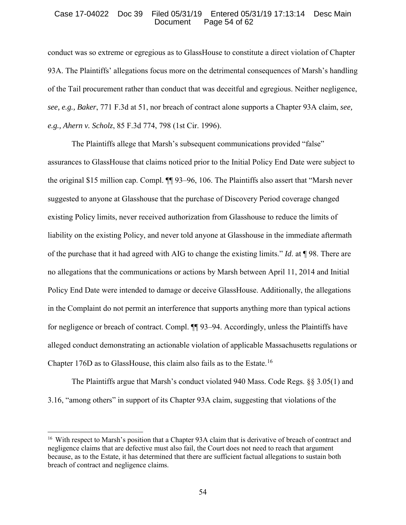## Case 17-04022 Doc 39 Filed 05/31/19 Entered 05/31/19 17:13:14 Desc Main Page  $54$  of  $62$

conduct was so extreme or egregious as to GlassHouse to constitute a direct violation of Chapter 93A. The Plaintiffs' allegations focus more on the detrimental consequences of Marsh's handling of the Tail procurement rather than conduct that was deceitful and egregious. Neither negligence, *see, e.g., Baker*, 771 F.3d at 51, nor breach of contract alone supports a Chapter 93A claim, *see, e.g., Ahern v. Scholz*, 85 F.3d 774, 798 (1st Cir. 1996).

The Plaintiffs allege that Marsh's subsequent communications provided "false" assurances to GlassHouse that claims noticed prior to the Initial Policy End Date were subject to the original \$15 million cap. Compl. ¶¶ 93–96, 106. The Plaintiffs also assert that "Marsh never suggested to anyone at Glasshouse that the purchase of Discovery Period coverage changed existing Policy limits, never received authorization from Glasshouse to reduce the limits of liability on the existing Policy, and never told anyone at Glasshouse in the immediate aftermath of the purchase that it had agreed with AIG to change the existing limits." *Id*. at ¶ 98. There are no allegations that the communications or actions by Marsh between April 11, 2014 and Initial Policy End Date were intended to damage or deceive GlassHouse. Additionally, the allegations in the Complaint do not permit an interference that supports anything more than typical actions for negligence or breach of contract. Compl. ¶¶ 93–94. Accordingly, unless the Plaintiffs have alleged conduct demonstrating an actionable violation of applicable Massachusetts regulations or Chapter 176D as to GlassHouse, this claim also fails as to the Estate.<sup>16</sup>

The Plaintiffs argue that Marsh's conduct violated 940 Mass. Code Regs. §§ 3.05(1) and 3.16, "among others" in support of its Chapter 93A claim, suggesting that violations of the

 $\overline{a}$ 

<sup>&</sup>lt;sup>16</sup> With respect to Marsh's position that a Chapter 93A claim that is derivative of breach of contract and negligence claims that are defective must also fail, the Court does not need to reach that argument because, as to the Estate, it has determined that there are sufficient factual allegations to sustain both breach of contract and negligence claims.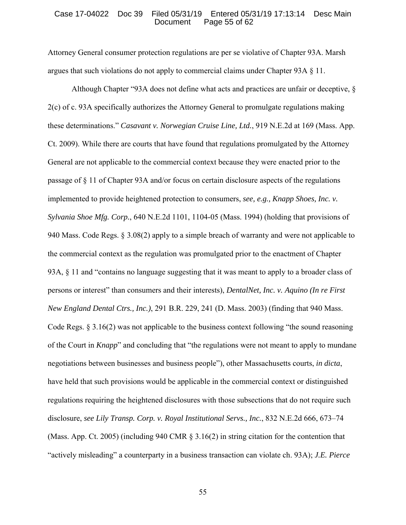#### Case 17-04022 Doc 39 Filed 05/31/19 Entered 05/31/19 17:13:14 Desc Main Page  $55$  of  $62$

Attorney General consumer protection regulations are per se violative of Chapter 93A. Marsh argues that such violations do not apply to commercial claims under Chapter 93A § 11.

Although Chapter "93A does not define what acts and practices are unfair or deceptive, § 2(c) of c. 93A specifically authorizes the Attorney General to promulgate regulations making these determinations." *Casavant v. Norwegian Cruise Line, Ltd.*, 919 N.E.2d at 169 (Mass. App. Ct. 2009). While there are courts that have found that regulations promulgated by the Attorney General are not applicable to the commercial context because they were enacted prior to the passage of § 11 of Chapter 93A and/or focus on certain disclosure aspects of the regulations implemented to provide heightened protection to consumers, *see, e.g., Knapp Shoes, Inc. v. Sylvania Shoe Mfg. Corp.*, 640 N.E.2d 1101, 1104-05 (Mass. 1994) (holding that provisions of 940 Mass. Code Regs. § 3.08(2) apply to a simple breach of warranty and were not applicable to the commercial context as the regulation was promulgated prior to the enactment of Chapter 93A, § 11 and "contains no language suggesting that it was meant to apply to a broader class of persons or interest" than consumers and their interests), *DentalNet, Inc. v. Aquino (In re First New England Dental Ctrs., Inc.)*, 291 B.R. 229, 241 (D. Mass. 2003) (finding that 940 Mass. Code Regs. § 3.16(2) was not applicable to the business context following "the sound reasoning of the Court in *Knapp*" and concluding that "the regulations were not meant to apply to mundane negotiations between businesses and business people"), other Massachusetts courts, *in dicta*, have held that such provisions would be applicable in the commercial context or distinguished regulations requiring the heightened disclosures with those subsections that do not require such disclosure, *see Lily Transp. Corp. v. Royal Institutional Servs., Inc.*, 832 N.E.2d 666, 673–74 (Mass. App. Ct. 2005) (including 940 CMR § 3.16(2) in string citation for the contention that "actively misleading" a counterparty in a business transaction can violate ch. 93A); *J.E. Pierce*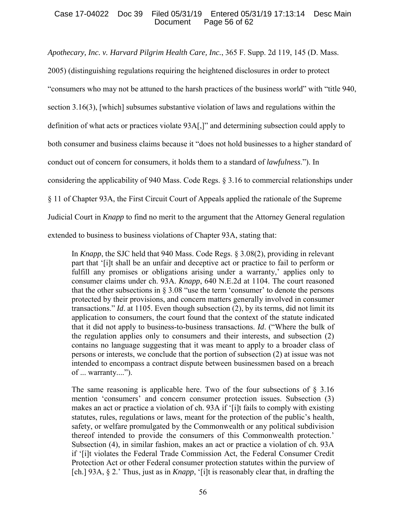# Case 17-04022 Doc 39 Filed 05/31/19 Entered 05/31/19 17:13:14 Desc Main Document Page 56 of 62

*Apothecary, Inc. v. Harvard Pilgrim Health Care, Inc.*, 365 F. Supp. 2d 119, 145 (D. Mass.

2005) (distinguishing regulations requiring the heightened disclosures in order to protect

"consumers who may not be attuned to the harsh practices of the business world" with "title 940,

section 3.16(3), [which] subsumes substantive violation of laws and regulations within the

definition of what acts or practices violate 93A[,]" and determining subsection could apply to

both consumer and business claims because it "does not hold businesses to a higher standard of

conduct out of concern for consumers, it holds them to a standard of *lawfulness*."). In

considering the applicability of 940 Mass. Code Regs. § 3.16 to commercial relationships under

§ 11 of Chapter 93A, the First Circuit Court of Appeals applied the rationale of the Supreme

Judicial Court in *Knapp* to find no merit to the argument that the Attorney General regulation

extended to business to business violations of Chapter 93A, stating that:

In *Knapp*, the SJC held that 940 Mass. Code Regs. § 3.08(2), providing in relevant part that '[i]t shall be an unfair and deceptive act or practice to fail to perform or fulfill any promises or obligations arising under a warranty,' applies only to consumer claims under ch. 93A. *Knapp*, 640 N.E.2d at 1104. The court reasoned that the other subsections in  $\S 3.08$  "use the term 'consumer' to denote the persons protected by their provisions, and concern matters generally involved in consumer transactions." *Id*. at 1105. Even though subsection (2), by its terms, did not limit its application to consumers, the court found that the context of the statute indicated that it did not apply to business-to-business transactions. *Id*. ("Where the bulk of the regulation applies only to consumers and their interests, and subsection (2) contains no language suggesting that it was meant to apply to a broader class of persons or interests, we conclude that the portion of subsection (2) at issue was not intended to encompass a contract dispute between businessmen based on a breach of ... warranty....").

The same reasoning is applicable here. Two of the four subsections of  $\S$  3.16 mention 'consumers' and concern consumer protection issues. Subsection (3) makes an act or practice a violation of ch. 93A if '[i]t fails to comply with existing statutes, rules, regulations or laws, meant for the protection of the public's health, safety, or welfare promulgated by the Commonwealth or any political subdivision thereof intended to provide the consumers of this Commonwealth protection.' Subsection (4), in similar fashion, makes an act or practice a violation of ch. 93A if '[i]t violates the Federal Trade Commission Act, the Federal Consumer Credit Protection Act or other Federal consumer protection statutes within the purview of [ch.] 93A, § 2.' Thus, just as in *Knapp*, '[i]t is reasonably clear that, in drafting the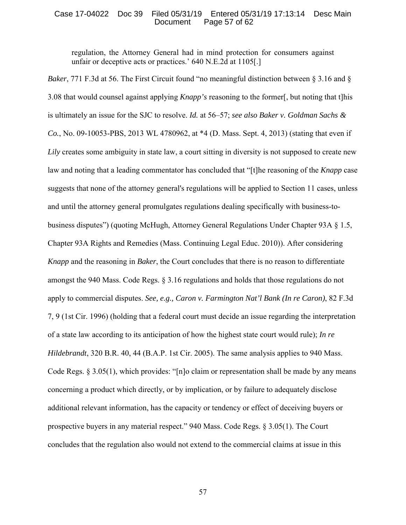## Case 17-04022 Doc 39 Filed 05/31/19 Entered 05/31/19 17:13:14 Desc Main Page 57 of 62

regulation, the Attorney General had in mind protection for consumers against unfair or deceptive acts or practices.' 640 N.E.2d at 1105[.]

*Baker*, 771 F.3d at 56. The First Circuit found "no meaningful distinction between § 3.16 and § 3.08 that would counsel against applying *Knapp's* reasoning to the former[, but noting that t]his is ultimately an issue for the SJC to resolve. *Id.* at 56–57; *see also Baker v. Goldman Sachs & Co.*, No. 09-10053-PBS, 2013 WL 4780962, at \*4 (D. Mass. Sept. 4, 2013) (stating that even if *Lily* creates some ambiguity in state law, a court sitting in diversity is not supposed to create new law and noting that a leading commentator has concluded that "[t]he reasoning of the *Knapp* case suggests that none of the attorney general's regulations will be applied to Section 11 cases, unless and until the attorney general promulgates regulations dealing specifically with business-tobusiness disputes") (quoting McHugh, Attorney General Regulations Under Chapter 93A § 1.5, Chapter 93A Rights and Remedies (Mass. Continuing Legal Educ. 2010)). After considering *Knapp* and the reasoning in *Baker*, the Court concludes that there is no reason to differentiate amongst the 940 Mass. Code Regs. § 3.16 regulations and holds that those regulations do not apply to commercial disputes. *See, e.g., Caron v. Farmington Nat'l Bank (In re Caron)*, 82 F.3d 7, 9 (1st Cir. 1996) (holding that a federal court must decide an issue regarding the interpretation of a state law according to its anticipation of how the highest state court would rule); *In re Hildebrandt*, 320 B.R. 40, 44 (B.A.P. 1st Cir. 2005). The same analysis applies to 940 Mass. Code Regs. § 3.05(1), which provides: "[n]o claim or representation shall be made by any means concerning a product which directly, or by implication, or by failure to adequately disclose additional relevant information, has the capacity or tendency or effect of deceiving buyers or prospective buyers in any material respect." 940 Mass. Code Regs. § 3.05(1). The Court concludes that the regulation also would not extend to the commercial claims at issue in this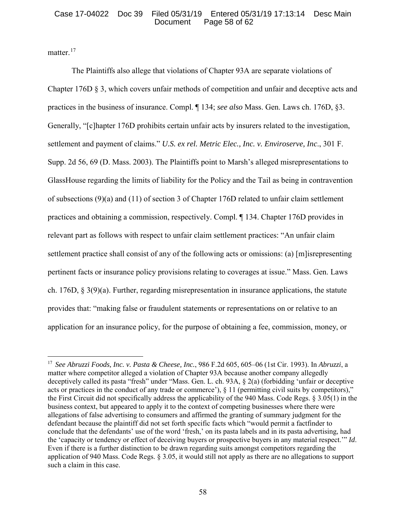## Case 17-04022 Doc 39 Filed 05/31/19 Entered 05/31/19 17:13:14 Desc Main Page 58 of  $62$

matter.<sup>17</sup>

 $\overline{a}$ 

The Plaintiffs also allege that violations of Chapter 93A are separate violations of Chapter 176D § 3, which covers unfair methods of competition and unfair and deceptive acts and practices in the business of insurance. Compl. ¶ 134; *see also* Mass. Gen. Laws ch. 176D, §3. Generally, "[c]hapter 176D prohibits certain unfair acts by insurers related to the investigation, settlement and payment of claims." *U.S. ex rel. Metric Elec., Inc. v. Enviroserve, Inc*., 301 F. Supp. 2d 56, 69 (D. Mass. 2003). The Plaintiffs point to Marsh's alleged misrepresentations to GlassHouse regarding the limits of liability for the Policy and the Tail as being in contravention of subsections (9)(a) and (11) of section 3 of Chapter 176D related to unfair claim settlement practices and obtaining a commission, respectively. Compl. ¶ 134. Chapter 176D provides in relevant part as follows with respect to unfair claim settlement practices: "An unfair claim settlement practice shall consist of any of the following acts or omissions: (a) [m]isrepresenting pertinent facts or insurance policy provisions relating to coverages at issue." Mass. Gen. Laws ch. 176D, § 3(9)(a). Further, regarding misrepresentation in insurance applications, the statute provides that: "making false or fraudulent statements or representations on or relative to an application for an insurance policy, for the purpose of obtaining a fee, commission, money, or

<sup>17</sup> *See Abruzzi Foods, Inc. v. Pasta & Cheese, Inc.*, 986 F.2d 605, 605–06 (1st Cir. 1993). In *Abruzzi*, a matter where competitor alleged a violation of Chapter 93A because another company allegedly deceptively called its pasta "fresh" under "Mass. Gen. L. ch. 93A, § 2(a) (forbidding 'unfair or deceptive acts or practices in the conduct of any trade or commerce'),  $\S 11$  (permitting civil suits by competitors)," the First Circuit did not specifically address the applicability of the 940 Mass. Code Regs. § 3.05(1) in the business context, but appeared to apply it to the context of competing businesses where there were allegations of false advertising to consumers and affirmed the granting of summary judgment for the defendant because the plaintiff did not set forth specific facts which "would permit a factfinder to conclude that the defendants' use of the word 'fresh,' on its pasta labels and in its pasta advertising, had the 'capacity or tendency or effect of deceiving buyers or prospective buyers in any material respect.'" *Id*. Even if there is a further distinction to be drawn regarding suits amongst competitors regarding the application of 940 Mass. Code Regs. § 3.05, it would still not apply as there are no allegations to support such a claim in this case.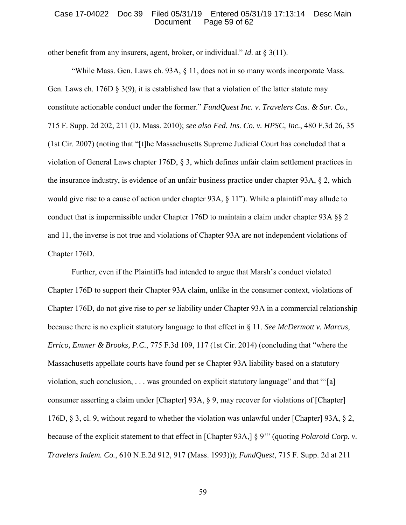## Case 17-04022 Doc 39 Filed 05/31/19 Entered 05/31/19 17:13:14 Desc Main Page 59 of 62

other benefit from any insurers, agent, broker, or individual." *Id*. at § 3(11).

"While Mass. Gen. Laws ch. 93A, § 11, does not in so many words incorporate Mass. Gen. Laws ch. 176D  $\S$  3(9), it is established law that a violation of the latter statute may constitute actionable conduct under the former." *FundQuest Inc. v. Travelers Cas. & Sur. Co.*, 715 F. Supp. 2d 202, 211 (D. Mass. 2010); *see also Fed. Ins. Co. v. HPSC, Inc.*, 480 F.3d 26, 35 (1st Cir. 2007) (noting that "[t]he Massachusetts Supreme Judicial Court has concluded that a violation of General Laws chapter 176D, § 3, which defines unfair claim settlement practices in the insurance industry, is evidence of an unfair business practice under chapter 93A, § 2, which would give rise to a cause of action under chapter 93A,  $\S$  11"). While a plaintiff may allude to conduct that is impermissible under Chapter 176D to maintain a claim under chapter 93A §§ 2 and 11, the inverse is not true and violations of Chapter 93A are not independent violations of Chapter 176D.

Further, even if the Plaintiffs had intended to argue that Marsh's conduct violated Chapter 176D to support their Chapter 93A claim, unlike in the consumer context, violations of Chapter 176D, do not give rise to *per se* liability under Chapter 93A in a commercial relationship because there is no explicit statutory language to that effect in § 11. *See McDermott v. Marcus, Errico, Emmer & Brooks, P.C.*, 775 F.3d 109, 117 (1st Cir. 2014) (concluding that "where the Massachusetts appellate courts have found per se Chapter 93A liability based on a statutory violation, such conclusion, . . . was grounded on explicit statutory language" and that "'[a] consumer asserting a claim under [Chapter] 93A, § 9, may recover for violations of [Chapter] 176D, § 3, cl. 9, without regard to whether the violation was unlawful under [Chapter] 93A, § 2, because of the explicit statement to that effect in [Chapter 93A,] § 9'" (quoting *Polaroid Corp. v. Travelers Indem. Co.*, 610 N.E.2d 912, 917 (Mass. 1993))); *FundQuest*, 715 F. Supp. 2d at 211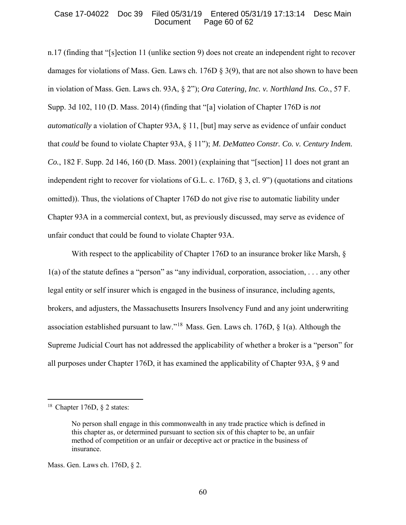## Case 17-04022 Doc 39 Filed 05/31/19 Entered 05/31/19 17:13:14 Desc Main Page 60 of  $62$

n.17 (finding that "[s]ection 11 (unlike section 9) does not create an independent right to recover damages for violations of Mass. Gen. Laws ch. 176D § 3(9), that are not also shown to have been in violation of Mass. Gen. Laws ch. 93A, § 2"); *Ora Catering, Inc. v. Northland Ins. Co.*, 57 F. Supp. 3d 102, 110 (D. Mass. 2014) (finding that "[a] violation of Chapter 176D is *not automatically* a violation of Chapter 93A, § 11, [but] may serve as evidence of unfair conduct that *could* be found to violate Chapter 93A, § 11"); *M. DeMatteo Constr. Co. v. Century Indem. Co.*, 182 F. Supp. 2d 146, 160 (D. Mass. 2001) (explaining that "[section] 11 does not grant an independent right to recover for violations of G.L. c. 176D, § 3, cl. 9") (quotations and citations omitted)). Thus, the violations of Chapter 176D do not give rise to automatic liability under Chapter 93A in a commercial context, but, as previously discussed, may serve as evidence of unfair conduct that could be found to violate Chapter 93A.

With respect to the applicability of Chapter 176D to an insurance broker like Marsh,  $\S$ 1(a) of the statute defines a "person" as "any individual, corporation, association, . . . any other legal entity or self insurer which is engaged in the business of insurance, including agents, brokers, and adjusters, the Massachusetts Insurers Insolvency Fund and any joint underwriting association established pursuant to law."<sup>18</sup> Mass. Gen. Laws ch. 176D,  $\S$  1(a). Although the Supreme Judicial Court has not addressed the applicability of whether a broker is a "person" for all purposes under Chapter 176D, it has examined the applicability of Chapter 93A, § 9 and

 $\overline{a}$ 

<sup>&</sup>lt;sup>18</sup> Chapter 176D,  $\S$  2 states:

No person shall engage in this commonwealth in any trade practice which is defined in this chapter as, or determined pursuant to section six of this chapter to be, an unfair method of competition or an unfair or deceptive act or practice in the business of insurance.

Mass. Gen. Laws ch. 176D, § 2.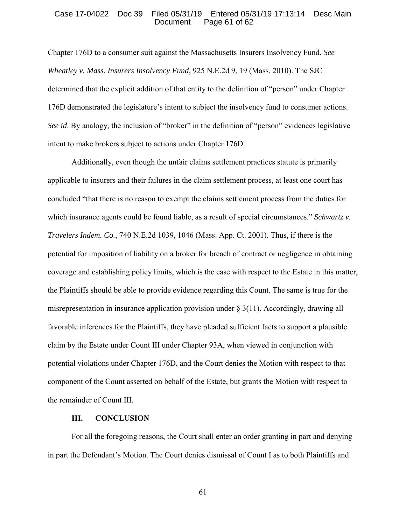## Case 17-04022 Doc 39 Filed 05/31/19 Entered 05/31/19 17:13:14 Desc Main Page  $61$  of  $62$

Chapter 176D to a consumer suit against the Massachusetts Insurers Insolvency Fund. *See Wheatley v. Mass. Insurers Insolvency Fund*, 925 N.E.2d 9, 19 (Mass. 2010). The SJC determined that the explicit addition of that entity to the definition of "person" under Chapter 176D demonstrated the legislature's intent to subject the insolvency fund to consumer actions. *See id.* By analogy, the inclusion of "broker" in the definition of "person" evidences legislative intent to make brokers subject to actions under Chapter 176D.

Additionally, even though the unfair claims settlement practices statute is primarily applicable to insurers and their failures in the claim settlement process, at least one court has concluded "that there is no reason to exempt the claims settlement process from the duties for which insurance agents could be found liable, as a result of special circumstances." *Schwartz v. Travelers Indem. Co.*, 740 N.E.2d 1039, 1046 (Mass. App. Ct. 2001). Thus, if there is the potential for imposition of liability on a broker for breach of contract or negligence in obtaining coverage and establishing policy limits, which is the case with respect to the Estate in this matter, the Plaintiffs should be able to provide evidence regarding this Count. The same is true for the misrepresentation in insurance application provision under  $\S 3(11)$ . Accordingly, drawing all favorable inferences for the Plaintiffs, they have pleaded sufficient facts to support a plausible claim by the Estate under Count III under Chapter 93A, when viewed in conjunction with potential violations under Chapter 176D, and the Court denies the Motion with respect to that component of the Count asserted on behalf of the Estate, but grants the Motion with respect to the remainder of Count III.

## **III. CONCLUSION**

 For all the foregoing reasons, the Court shall enter an order granting in part and denying in part the Defendant's Motion. The Court denies dismissal of Count I as to both Plaintiffs and